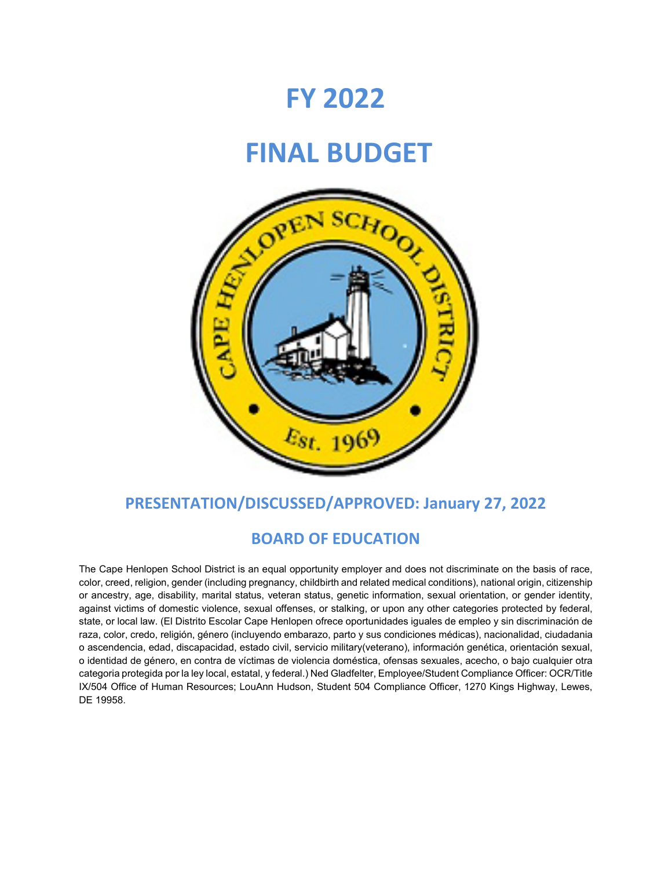# **FY 2022**

# **FINAL BUDGET**



# **PRESENTATION/DISCUSSED/APPROVED: January 27, 2022**

# **BOARD OF EDUCATION**

The Cape Henlopen School District is an equal opportunity employer and does not discriminate on the basis of race, color, creed, religion, gender (including pregnancy, childbirth and related medical conditions), national origin, citizenship or ancestry, age, disability, marital status, veteran status, genetic information, sexual orientation, or gender identity, against victims of domestic violence, sexual offenses, or stalking, or upon any other categories protected by federal, state, or local law. (El Distrito Escolar Cape Henlopen ofrece oportunidades iguales de empleo y sin discriminación de raza, color, credo, religión, género (incluyendo embarazo, parto y sus condiciones médicas), nacionalidad, ciudadania o ascendencia, edad, discapacidad, estado civil, servicio military(veterano), información genética, orientación sexual, o identidad de género, en contra de víctimas de violencia doméstica, ofensas sexuales, acecho, o bajo cualquier otra categoria protegida por la ley local, estatal, y federal.) Ned Gladfelter, Employee/Student Compliance Officer: OCR/Title IX/504 Office of Human Resources; LouAnn Hudson, Student 504 Compliance Officer, 1270 Kings Highway, Lewes, DE 19958.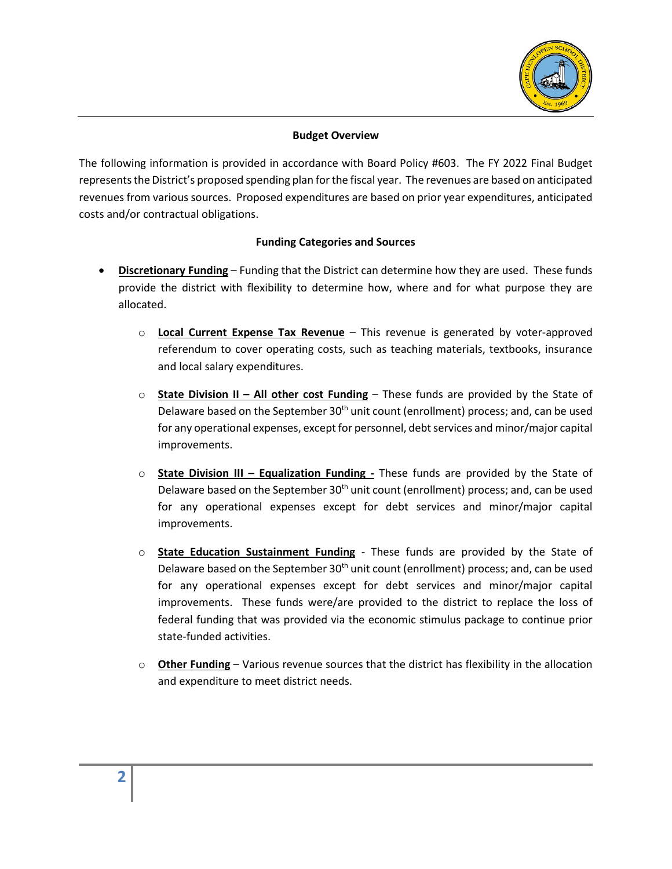

### **Budget Overview**

The following information is provided in accordance with Board Policy #603. The FY 2022 Final Budget represents the District's proposed spending plan for the fiscal year. The revenues are based on anticipated revenues from various sources. Proposed expenditures are based on prior year expenditures, anticipated costs and/or contractual obligations.

#### **Funding Categories and Sources**

- **Discretionary Funding** Funding that the District can determine how they are used. These funds provide the district with flexibility to determine how, where and for what purpose they are allocated.
	- o **Local Current Expense Tax Revenue** This revenue is generated by voter-approved referendum to cover operating costs, such as teaching materials, textbooks, insurance and local salary expenditures.
	- o **State Division II – All other cost Funding** These funds are provided by the State of Delaware based on the September 30<sup>th</sup> unit count (enrollment) process; and, can be used for any operational expenses, except for personnel, debt services and minor/major capital improvements.
	- o **State Division III – Equalization Funding -** These funds are provided by the State of Delaware based on the September  $30<sup>th</sup>$  unit count (enrollment) process; and, can be used for any operational expenses except for debt services and minor/major capital improvements.
	- o **State Education Sustainment Funding** These funds are provided by the State of Delaware based on the September 30<sup>th</sup> unit count (enrollment) process; and, can be used for any operational expenses except for debt services and minor/major capital improvements. These funds were/are provided to the district to replace the loss of federal funding that was provided via the economic stimulus package to continue prior state-funded activities.
	- o **Other Funding** Various revenue sources that the district has flexibility in the allocation and expenditure to meet district needs.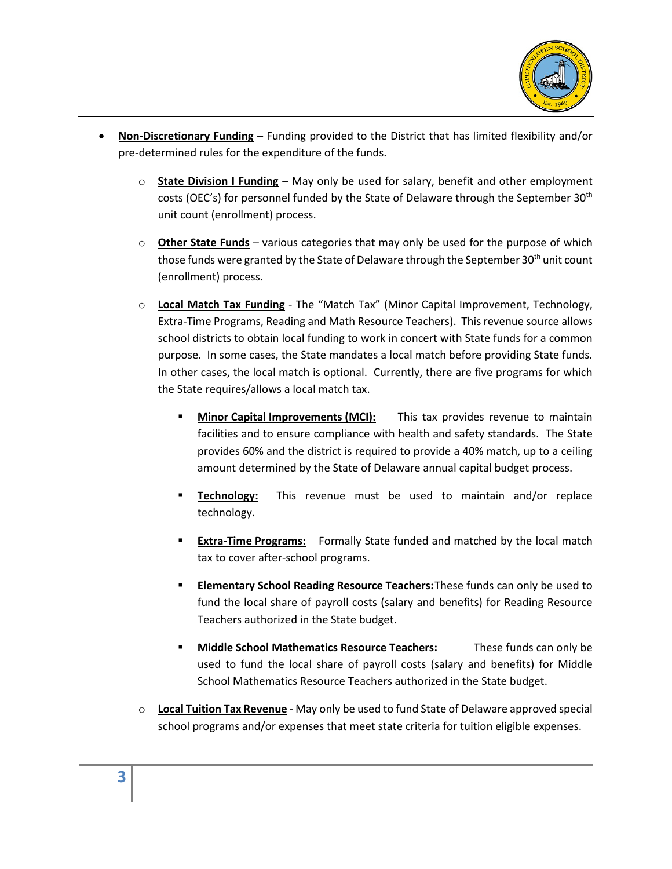

- **Non-Discretionary Funding** Funding provided to the District that has limited flexibility and/or pre-determined rules for the expenditure of the funds.
	- **State Division I Funding** May only be used for salary, benefit and other employment costs (OEC's) for personnel funded by the State of Delaware through the September 30th unit count (enrollment) process.
	- o **Other State Funds** various categories that may only be used for the purpose of which those funds were granted by the State of Delaware through the September  $30<sup>th</sup>$  unit count (enrollment) process.
	- o **Local Match Tax Funding** The "Match Tax" (Minor Capital Improvement, Technology, Extra-Time Programs, Reading and Math Resource Teachers). This revenue source allows school districts to obtain local funding to work in concert with State funds for a common purpose. In some cases, the State mandates a local match before providing State funds. In other cases, the local match is optional. Currently, there are five programs for which the State requires/allows a local match tax.
		- **Minor Capital Improvements (MCI):** This tax provides revenue to maintain facilities and to ensure compliance with health and safety standards. The State provides 60% and the district is required to provide a 40% match, up to a ceiling amount determined by the State of Delaware annual capital budget process.
		- **Technology:** This revenue must be used to maintain and/or replace technology.
		- **Extra-Time Programs:** Formally State funded and matched by the local match tax to cover after-school programs.
		- **Elementary School Reading Resource Teachers:**These funds can only be used to fund the local share of payroll costs (salary and benefits) for Reading Resource Teachers authorized in the State budget.
		- **Middle School Mathematics Resource Teachers:** These funds can only be used to fund the local share of payroll costs (salary and benefits) for Middle School Mathematics Resource Teachers authorized in the State budget.
	- o **Local Tuition Tax Revenue** May only be used to fund State of Delaware approved special school programs and/or expenses that meet state criteria for tuition eligible expenses.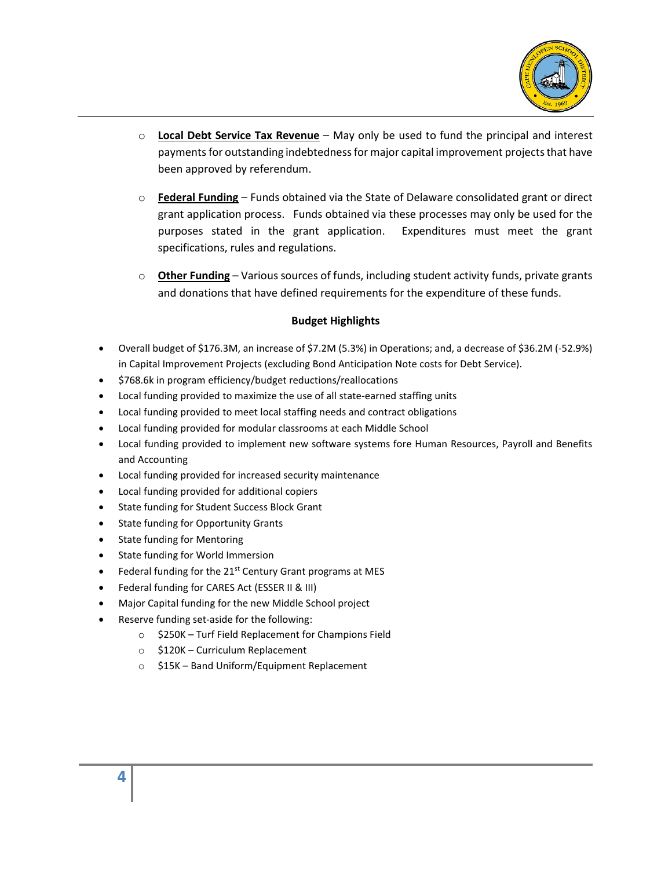

- o **Local Debt Service Tax Revenue** May only be used to fund the principal and interest payments for outstanding indebtednessfor major capital improvement projects that have been approved by referendum.
- o **Federal Funding** Funds obtained via the State of Delaware consolidated grant or direct grant application process. Funds obtained via these processes may only be used for the purposes stated in the grant application. Expenditures must meet the grant specifications, rules and regulations.
- o **Other Funding** Various sources of funds, including student activity funds, private grants and donations that have defined requirements for the expenditure of these funds.

#### **Budget Highlights**

- Overall budget of \$176.3M, an increase of \$7.2M (5.3%) in Operations; and, a decrease of \$36.2M (-52.9%) in Capital Improvement Projects (excluding Bond Anticipation Note costs for Debt Service).
- \$768.6k in program efficiency/budget reductions/reallocations
- Local funding provided to maximize the use of all state-earned staffing units
- Local funding provided to meet local staffing needs and contract obligations
- Local funding provided for modular classrooms at each Middle School
- Local funding provided to implement new software systems fore Human Resources, Payroll and Benefits and Accounting
- Local funding provided for increased security maintenance
- Local funding provided for additional copiers
- State funding for Student Success Block Grant
- State funding for Opportunity Grants
- State funding for Mentoring
- State funding for World Immersion
- Federal funding for the  $21^{st}$  Century Grant programs at MES
- Federal funding for CARES Act (ESSER II & III)
- Major Capital funding for the new Middle School project
- Reserve funding set-aside for the following:
	- o \$250K Turf Field Replacement for Champions Field
	- o \$120K Curriculum Replacement
	- o \$15K Band Uniform/Equipment Replacement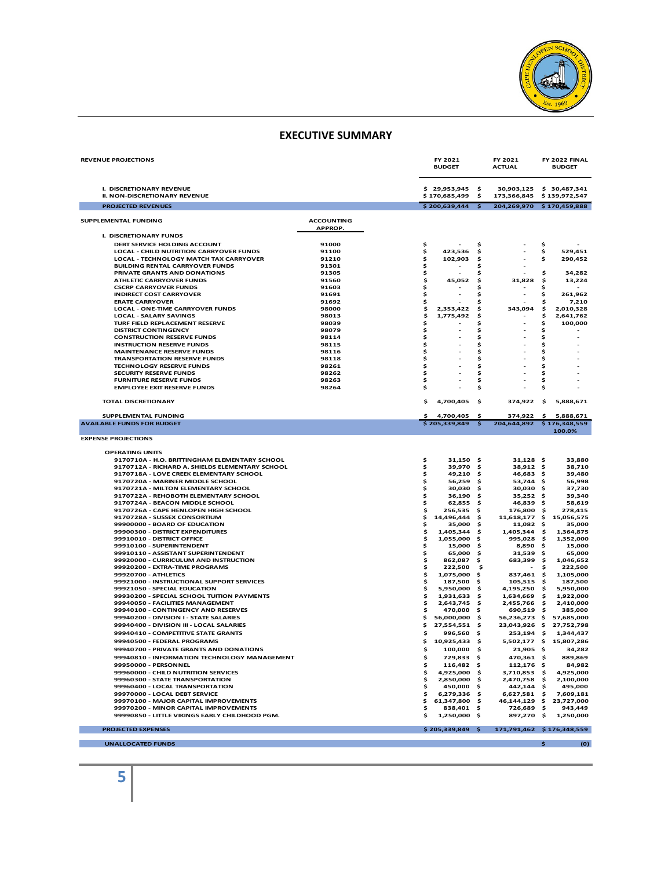

#### **EXECUTIVE SUMMARY**

| <b>REVENUE PROJECTIONS</b>                                                                            |                              |          | FY 2021<br><b>BUDGET</b>      |          | FY 2021<br><b>ACTUAL</b>            |           | FY 2022 FINAL<br><b>BUDGET</b> |
|-------------------------------------------------------------------------------------------------------|------------------------------|----------|-------------------------------|----------|-------------------------------------|-----------|--------------------------------|
| I. DISCRETIONARY REVENUE<br><b>II. NON-DISCRETIONARY REVENUE</b>                                      |                              |          | \$29,953,945<br>\$170,685,499 | \$<br>\$ | 30,903,125<br>173,366,845           |           | \$30,487,341<br>\$139,972,547  |
| <b>PROJECTED REVENUES</b>                                                                             |                              |          | \$200,639,444                 | s.       | 204,269,970 \$170,459,888           |           |                                |
| SUPPLEMENTAL FUNDING                                                                                  | <b>ACCOUNTING</b><br>APPROP. |          |                               |          |                                     |           |                                |
| I. DISCRETIONARY FUNDS                                                                                |                              |          |                               |          |                                     |           |                                |
| DEBT SERVICE HOLDING ACCOUNT                                                                          | 91000                        | \$       |                               | Ś        |                                     | \$        |                                |
| LOCAL - CHILD NUTRITION CARRYOVER FUNDS                                                               | 91100                        | \$       | 423,536                       | Ś        |                                     | \$        | 529.451                        |
| LOCAL - TECHNOLOGY MATCH TAX CARRYOVER<br><b>BUILDING RENTAL CARRYOVER FUNDS</b>                      | 91210<br>91301               | \$       | 102,903                       | Ś<br>Ś   |                                     | \$        | 290,452                        |
| PRIVATE GRANTS AND DONATIONS                                                                          | 91305                        | \$<br>\$ |                               | Ś        |                                     | \$        | 34,282                         |
| <b>ATHLETIC CARRYOVER FUNDS</b>                                                                       | 91560                        | \$       | 45,052                        | \$       | 31,828                              | \$        | 13,224                         |
| <b>CSCRP CARRYOVER FUNDS</b>                                                                          | 91603                        | \$       |                               | Ś        |                                     | Ś         |                                |
| <b>INDIRECT COST CARRYOVER</b>                                                                        | 91691                        | \$       |                               | \$       | ٠                                   | \$        | 261,962                        |
| <b>ERATE CARRYOVER</b>                                                                                | 91692                        | \$       |                               | \$       |                                     | \$        | 7,210                          |
| <b>LOCAL - ONE-TIME CARRYOVER FUNDS</b><br><b>LOCAL - SALARY SAVINGS</b>                              | 98000<br>98013               | \$<br>\$ | 2,353,422<br>1,775,492        | \$<br>Ś  | 343,094<br>$\overline{\phantom{a}}$ | \$<br>\$  | 2,010,328<br>2,641,762         |
| TURF FIELD REPLACEMENT RESERVE                                                                        | 98039                        | \$       |                               | \$       | ٠                                   | \$        | 100,000                        |
| <b>DISTRICT CONTINGENCY</b>                                                                           | 98079                        | \$       |                               | \$       |                                     | \$        |                                |
| <b>CONSTRUCTION RESERVE FUNDS</b>                                                                     | 98114                        | \$       |                               | Ś        |                                     | \$        |                                |
| <b>INSTRUCTION RESERVE FUNDS</b>                                                                      | 98115                        | \$       |                               | \$       |                                     | \$        |                                |
| <b>MAINTENANCE RESERVE FUNDS</b>                                                                      | 98116                        | \$       |                               | \$       |                                     | \$        |                                |
| <b>TRANSPORTATION RESERVE FUNDS</b>                                                                   | 98118                        | \$<br>\$ |                               | \$       | ٠                                   | \$        |                                |
| <b>TECHNOLOGY RESERVE FUNDS</b><br>SECURITY RESERVE FUNDS                                             | 98261<br>98262               | \$       |                               | \$<br>\$ |                                     | \$<br>\$  |                                |
| <b>FURNITURE RESERVE FUNDS</b>                                                                        | 98263                        | \$       |                               | \$       |                                     | \$        |                                |
| <b>EMPLOYEE EXIT RESERVE FUNDS</b>                                                                    | 98264                        | \$       |                               | Ś        |                                     | \$        |                                |
| <b>TOTAL DISCRETIONARY</b>                                                                            |                              | \$       | 4,700,405                     | \$       | 374,922                             | -\$       | 5,888,671                      |
| SUPPLEMENTAL FUNDING                                                                                  |                              | Ś        | 4,700,405                     | Ś        | 374,922                             | \$        | 5,888,671                      |
| <b>AVAILABLE FUNDS FOR BUDGET</b>                                                                     |                              |          | \$205,339,849                 | \$       | 204,644,892                         |           | \$176,348,559                  |
|                                                                                                       |                              |          |                               |          |                                     |           | 100.0%                         |
| <b>EXPENSE PROJECTIONS</b><br><b>OPFRATING UNITS</b><br>9170710A - H.O. BRITTINGHAM ELEMENTARY SCHOOL |                              | \$       | $31,150$ \$                   |          | $31,128$ \$                         |           | 33,880                         |
| 9170712A - RICHARD A. SHIELDS ELEMENTARY SCHOOL                                                       |                              | \$       | 39,970                        | .s       | 38,912 \$                           |           | 38,710                         |
| 9170718A - LOVE CREEK ELEMENTARY SCHOOL                                                               |                              | \$       | 49,210                        | Ŝ        | 46,683                              | \$        | 39,480                         |
| 9170720A - MARINER MIDDLE SCHOOL<br>9170721A - MILTON ELEMENTARY SCHOOL                               |                              | \$<br>\$ | 56,259<br>30,030              | \$<br>s  | 53,744<br>30,030 \$                 | \$        | 56,998<br>37,730               |
| 9170722A - REHOBOTH ELEMENTARY SCHOOL                                                                 |                              | \$       | 36,190                        | \$       | $35,252$ \$                         |           | 39,340                         |
| 9170724A - BEACON MIDDLE SCHOOL                                                                       |                              | \$       | 62,855                        | .s       | 46,839                              | .s        | 58,619                         |
| 9170726A - CAPE HENLOPEN HIGH SCHOOL                                                                  |                              | \$       | 256,535                       | s        | 176,800                             | -\$       | 278,415                        |
| 9170728A - SUSSEX CONSORTIUM                                                                          |                              | \$       | 14,496,444                    | s        | 11,618,177                          | \$        | 15,056,575                     |
| 99900000 - BOARD OF EDUCATION                                                                         |                              | \$       | 35,000                        | Ŝ        | 11,082 \$                           |           | 35,000                         |
| 99900300 - DISTRICT EXPENDITURES<br>99910010 - DISTRICT OFFICE                                        |                              | \$<br>\$ | 1,405,344<br>1,055,000        | s<br>- S | 1,405,344<br>995,028                | \$<br>-\$ | 1,364,875<br>1,352,000         |
| 99910100 - SUPERINTENDENT                                                                             |                              | \$       | 15,000                        | .s       | 8,890                               | \$        | 15,000                         |
| 99910110 - ASSISTANT SUPERINTENDENT                                                                   |                              | \$       | 65,000                        | s        | 31,539                              | \$        | 65,000                         |
| 99920000 - CURRICULUM AND INSTRUCTION                                                                 |                              | \$       | 862,087                       | s        | 683,399                             | -\$       | 1,046,652                      |
| 99920200 - EXTRA-TIME PROGRAMS                                                                        |                              | \$       | 222,500                       | Ś        |                                     | Ś         | 222,500                        |
| 99920700 - ATHLETICS                                                                                  |                              | \$       | 1,075,000                     | s        | 837,461 \$                          |           | 1,105,000                      |
| 99921000 - INSTRUCTIONAL SUPPORT SERVICES<br>99921050 - SPECIAL EDUCATION                             |                              | \$<br>\$ | 187,500<br>5,950,000          | s<br>Ŝ   | $105,515$ \$<br>4,195,250           | \$        | 187,500<br>5,950,000           |
| 99930200 - SPECIAL SCHOOL TUITION PAYMENTS                                                            |                              | \$       | 1,931,633                     | s        | 1,634,669                           | \$        | 1,922,000                      |
| 99940050 - FACILITIES MANAGEMENT                                                                      |                              | \$       | 2,643,745                     | \$       | 2,455,766                           | \$.       | 2,410,000                      |
| 99940100 - CONTINGENCY AND RESERVES                                                                   |                              | \$       | 470,000                       | \$       | 690,519                             | Ŝ         | 385,000                        |
| 99940200 - DIVISION I - STATE SALARIES                                                                |                              | \$       | 56,000,000                    | \$       | 56,236,273                          | \$        | 57,685,000                     |
| 99940400 - DIVISION III - LOCAL SALARIES                                                              |                              | \$       | 27,554,551                    | -\$      | 23,043,926 \$                       |           | 27,752,798                     |
| 99940410 - COMPETITIVE STATE GRANTS                                                                   |                              | \$       | 996,560                       | .s       | 253,194 \$                          |           | 1,344,437                      |
| 99940500 - FEDERAL PROGRAMS                                                                           |                              | \$       | 10,925,433                    | - \$     | 5,502,177 \$                        |           | 15,807,286                     |
| 99940700 - PRIVATE GRANTS AND DONATIONS                                                               |                              |          | $100,000$ \$                  |          | 21,905 \$                           |           | 34.282                         |
| 99940810 - INFORMATION TECHNOLOGY MANAGEMENT                                                          |                              | \$       | 729,833 \$                    |          | 470,361 \$                          |           | 889,869                        |
| 99950000 - PERSONNEL<br>99960000 - CHILD NUTRITION SERVICES                                           |                              | \$<br>\$ | 116,482 \$<br>4,925,000 \$    |          | 112,176 \$<br>3,710,853 \$          |           | 84,982<br>4,925,000            |
| 99960300 - STATE TRANSPORTATION                                                                       |                              | \$       | 2,850,000 \$                  |          | 2,470,758 \$                        |           | 2,100,000                      |
| 99960400 - LOCAL TRANSPORTATION                                                                       |                              | \$       | 450,000 \$                    |          | 442,144 \$                          |           | 495,000                        |
| 99970000 - LOCAL DEBT SERVICE                                                                         |                              | \$       | $6,279,336$ \$                |          | $6,627,581$ \$                      |           | 7,609,181                      |
| 99970100 - MAJOR CAPITAL IMPROVEMENTS                                                                 |                              | \$       | 61,347,800 \$                 |          | 46,144,129 \$                       |           | 23,727,000                     |
| 99970200 - MINOR CAPITAL IMPROVEMENTS<br>99990850 - LITTLE VIKINGS EARLY CHILDHOOD PGM.               |                              | \$<br>Ś  | 838,401 \$<br>1,250,000 \$    |          | 726,689 \$<br>897,270 \$            |           | 943,449<br>1,250,000           |
|                                                                                                       |                              |          |                               |          |                                     |           |                                |
| <b>PROJECTED EXPENSES</b>                                                                             |                              |          | $$205,339,849$ \$             |          | 171,791,462 \$176,348,559           |           |                                |
| <b>UNALLOCATED FUNDS</b>                                                                              |                              |          |                               |          |                                     | \$        | (0)                            |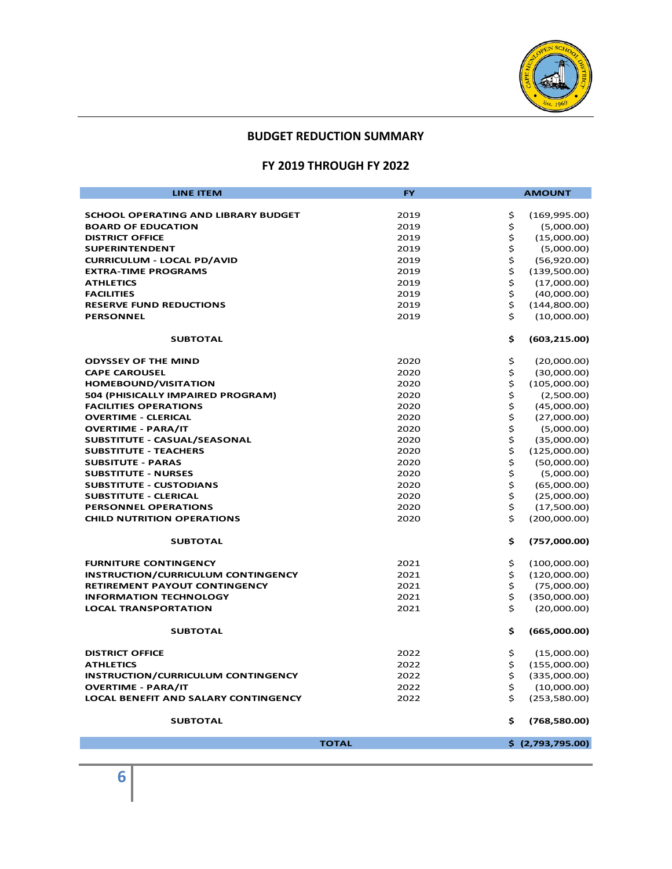

### **BUDGET REDUCTION SUMMARY**

# **FY 2019 THROUGH FY 2022**

| <b>LINE ITEM</b>                            | <b>FY</b>    | <b>AMOUNT</b>     |
|---------------------------------------------|--------------|-------------------|
|                                             |              |                   |
| <b>SCHOOL OPERATING AND LIBRARY BUDGET</b>  | \$<br>2019   | (169,995.00)      |
| <b>BOARD OF EDUCATION</b>                   | \$<br>2019   | (5,000.00)        |
| <b>DISTRICT OFFICE</b>                      | \$<br>2019   | (15,000.00)       |
| <b>SUPERINTENDENT</b>                       | \$<br>2019   | (5,000.00)        |
| <b>CURRICULUM - LOCAL PD/AVID</b>           | \$<br>2019   | (56,920.00)       |
| <b>EXTRA-TIME PROGRAMS</b>                  | \$<br>2019   | (139,500.00)      |
| <b>ATHLETICS</b>                            | \$<br>2019   | (17,000.00)       |
| <b>FACILITIES</b>                           | \$<br>2019   | (40,000.00)       |
| <b>RESERVE FUND REDUCTIONS</b>              | \$<br>2019   | (144,800.00)      |
| <b>PERSONNEL</b>                            | \$<br>2019   | (10,000.00)       |
| <b>SUBTOTAL</b>                             | \$           | (603, 215.00)     |
|                                             |              |                   |
| <b>ODYSSEY OF THE MIND</b>                  | \$<br>2020   | (20,000.00)       |
| <b>CAPE CAROUSEL</b>                        | \$<br>2020   | (30,000.00)       |
| <b>HOMEBOUND/VISITATION</b>                 | \$<br>2020   | (105,000.00)      |
| 504 (PHISICALLY IMPAIRED PROGRAM)           | \$<br>2020   | (2,500.00)        |
| <b>FACILITIES OPERATIONS</b>                | \$<br>2020   | (45,000.00)       |
| <b>OVERTIME - CLERICAL</b>                  | \$<br>2020   | (27,000.00)       |
| <b>OVERTIME - PARA/IT</b>                   | \$<br>2020   | (5,000.00)        |
| SUBSTITUTE - CASUAL/SEASONAL                | \$<br>2020   | (35,000.00)       |
| <b>SUBSTITUTE - TEACHERS</b>                | \$<br>2020   | (125,000.00)      |
| <b>SUBSITUTE - PARAS</b>                    | \$<br>2020   | (50,000.00)       |
| <b>SUBSTITUTE - NURSES</b>                  | \$<br>2020   | (5,000.00)        |
| <b>SUBSTITUTE - CUSTODIANS</b>              | \$<br>2020   | (65,000.00)       |
| <b>SUBSTITUTE - CLERICAL</b>                | \$<br>2020   | (25,000.00)       |
| <b>PERSONNEL OPERATIONS</b>                 | \$<br>2020   | (17,500.00)       |
| <b>CHILD NUTRITION OPERATIONS</b>           | \$<br>2020   | (200,000.00)      |
| <b>SUBTOTAL</b>                             | \$           | (757,000.00)      |
| <b>FURNITURE CONTINGENCY</b>                | \$<br>2021   | (100,000.00)      |
| <b>INSTRUCTION/CURRICULUM CONTINGENCY</b>   | 2021<br>\$   | (120,000.00)      |
| <b>RETIREMENT PAYOUT CONTINGENCY</b>        | \$<br>2021   | (75,000.00)       |
| <b>INFORMATION TECHNOLOGY</b>               | \$<br>2021   | (350,000.00)      |
| <b>LOCAL TRANSPORTATION</b>                 | \$<br>2021   | (20,000.00)       |
| <b>SUBTOTAL</b>                             | \$           | (665,000.00)      |
| <b>DISTRICT OFFICE</b>                      | 2022<br>\$   | (15,000.00)       |
| <b>ATHLETICS</b>                            | \$<br>2022   | (155,000.00)      |
| <b>INSTRUCTION/CURRICULUM CONTINGENCY</b>   | \$<br>2022   | (335,000.00)      |
| <b>OVERTIME - PARA/IT</b>                   | \$<br>2022   | (10,000.00)       |
| <b>LOCAL BENEFIT AND SALARY CONTINGENCY</b> | \$<br>2022   | (253,580.00)      |
| <b>SUBTOTAL</b>                             | \$           | (768,580.00)      |
|                                             |              |                   |
|                                             | <b>TOTAL</b> | \$ (2,793,795.00) |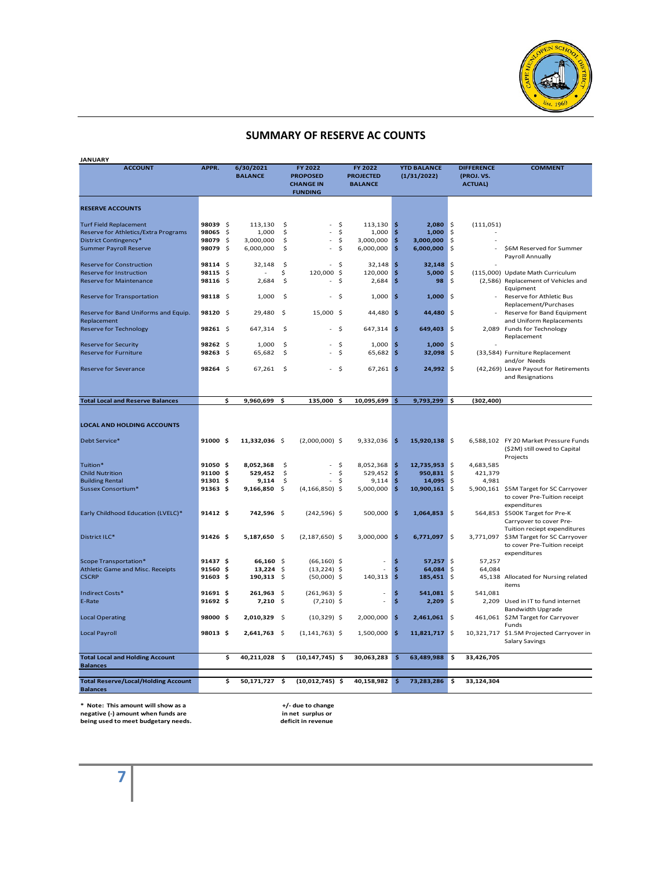

#### **SUMMARY OF RESERVE AC COUNTS**

| <b>JANUARY</b>                                      |               |                     |                  |                    |                                    |          |                   |              |                    |              |                   |                                                                         |
|-----------------------------------------------------|---------------|---------------------|------------------|--------------------|------------------------------------|----------|-------------------|--------------|--------------------|--------------|-------------------|-------------------------------------------------------------------------|
| <b>ACCOUNT</b>                                      | APPR.         |                     | 6/30/2021        |                    | FY 2022                            |          | FY 2022           |              | <b>YTD BALANCE</b> |              | <b>DIFFERENCE</b> | <b>COMMENT</b>                                                          |
|                                                     |               |                     | <b>BALANCE</b>   |                    | <b>PROPOSED</b>                    |          | <b>PROJECTED</b>  |              | (1/31/2022)        |              | (PROJ. VS.        |                                                                         |
|                                                     |               |                     |                  |                    | <b>CHANGE IN</b><br><b>FUNDING</b> |          | <b>BALANCE</b>    |              |                    |              | <b>ACTUAL)</b>    |                                                                         |
|                                                     |               |                     |                  |                    |                                    |          |                   |              |                    |              |                   |                                                                         |
| <b>RESERVE ACCOUNTS</b>                             |               |                     |                  |                    |                                    |          |                   |              |                    |              |                   |                                                                         |
| <b>Turf Field Replacement</b>                       | 98039 \$      |                     | 113,130          | \$                 |                                    | \$       | 113,130           | \$           | 2,080              | \$           | (111, 051)        |                                                                         |
| Reserve for Athletics/Extra Programs                | 98065         | \$                  | 1,000            | \$                 |                                    | \$       | 1,000             | -\$          | 1,000              | \$           |                   |                                                                         |
| District Contingency*                               | 98079         | \$                  | 3,000,000        | \$                 |                                    | \$       | 3,000,000         | \$           | 3,000,000          | \$           |                   |                                                                         |
| <b>Summer Payroll Reserve</b>                       | 98079 \$      |                     | 6,000,000        | \$                 |                                    | \$       | 6,000,000         | $\mathsf{S}$ | 6,000,000          | \$           |                   | \$6M Reserved for Summer                                                |
| <b>Reserve for Construction</b>                     | 98114 \$      |                     | 32,148           | -\$                |                                    | \$       |                   | \$           |                    | \$           |                   | Payroll Annually                                                        |
| Reserve for Instruction                             | 98115         | -\$                 |                  | \$                 | 120,000 \$                         |          | 32,148<br>120,000 | \$           | 32,148<br>5,000    | \$           |                   |                                                                         |
| <b>Reserve for Maintenance</b>                      | 98116 \$      |                     | 2,684            | \$                 |                                    | \$       | 2,684             | -\$          | 98                 | $\mathsf{S}$ |                   | (115,000) Update Math Curriculum<br>(2,586) Replacement of Vehicles and |
|                                                     |               |                     |                  |                    |                                    |          |                   |              |                    |              |                   | Equipment                                                               |
| <b>Reserve for Transportation</b>                   | 98118 \$      |                     | 1,000            | \$                 | $\overline{a}$                     | - \$     | 1,000             | $\mathsf{S}$ | 1,000              | 5            |                   | Reserve for Athletic Bus                                                |
|                                                     |               |                     |                  |                    |                                    |          |                   |              |                    |              |                   | Replacement/Purchases                                                   |
| Reserve for Band Uniforms and Equip.<br>Replacement | 98120 \$      |                     | 29,480           | -\$                | 15,000 \$                          |          | 44,480 \$         |              | 44,480 \$          |              |                   | Reserve for Band Equipment<br>and Uniform Replacements                  |
| <b>Reserve for Technology</b>                       | 98261 \$      |                     | 647,314          | \$                 |                                    | - \$     | 647,314 \$        |              | $649,403$ \$       |              |                   | 2,089 Funds for Technology                                              |
|                                                     |               |                     |                  |                    |                                    |          |                   |              |                    |              |                   | Replacement                                                             |
| <b>Reserve for Security</b>                         | 98262 \$      |                     | 1,000            | \$                 | ٠                                  | \$       | 1,000             | \$           | 1,000              | \$           |                   |                                                                         |
| <b>Reserve for Furniture</b>                        | 98263         | $\ddot{\mathsf{s}}$ | 65,682           | \$                 |                                    | \$       | 65,682            | ∣\$          | 32,098 \$          |              |                   | (33,584) Furniture Replacement                                          |
| <b>Reserve for Severance</b>                        | 98264 \$      |                     | 67,261           | \$                 |                                    | - \$     | $67,261$ \$       |              | 24,992 \$          |              |                   | and/or Needs<br>(42,269) Leave Payout for Retirements                   |
|                                                     |               |                     |                  |                    |                                    |          |                   |              |                    |              |                   | and Resignations                                                        |
|                                                     |               |                     |                  |                    |                                    |          |                   |              |                    |              |                   |                                                                         |
|                                                     |               | \$                  | 9,960,699        | \$                 | 135,000 \$                         |          | 10,095,699 \$     |              | $9,793,299$ \$     |              | (302, 400)        |                                                                         |
| <b>Total Local and Reserve Balances</b>             |               |                     |                  |                    |                                    |          |                   |              |                    |              |                   |                                                                         |
|                                                     |               |                     |                  |                    |                                    |          |                   |              |                    |              |                   |                                                                         |
| <b>LOCAL AND HOLDING ACCOUNTS</b>                   |               |                     |                  |                    |                                    |          |                   |              |                    |              |                   |                                                                         |
|                                                     |               |                     |                  |                    |                                    |          |                   |              |                    |              |                   |                                                                         |
| Debt Service*                                       | 91000 \$      |                     | 11,332,036 \$    |                    | $(2,000,000)$ \$                   |          | $9,332,036$ \$    |              | 15,920,138 \$      |              |                   | 6,588,102 FY 20 Market Pressure Funds                                   |
|                                                     |               |                     |                  |                    |                                    |          |                   |              |                    |              |                   | (\$2M) still owed to Capital                                            |
|                                                     | 91050 \$      |                     |                  |                    | $\overline{a}$                     |          |                   |              |                    |              |                   | Projects                                                                |
| Tuition*                                            | 91100 \$      |                     | 8,052,368        | \$                 |                                    | \$<br>\$ | 8,052,368         | ∣\$<br>\$    | $12,735,953$ \$    | \$           | 4,683,585         |                                                                         |
| <b>Child Nutrition</b><br><b>Building Rental</b>    | 91301 \$      |                     | 529,452<br>9,114 | \$<br>$\mathsf{S}$ |                                    | \$       | 529,452<br>9,114  | \$           | 950,831<br>14,095  | \$           | 421,379<br>4,981  |                                                                         |
| Sussex Consortium*                                  | $91363$ \$    |                     | 9,166,850        | -\$                | $(4, 166, 850)$ \$                 |          | 5,000,000         | \$.          | 10,900,161 \$      |              | 5,900,161         | \$5M Target for SC Carryover                                            |
|                                                     |               |                     |                  |                    |                                    |          |                   |              |                    |              |                   | to cover Pre-Tuition receipt                                            |
|                                                     |               |                     |                  |                    |                                    |          |                   |              |                    |              |                   | expenditures                                                            |
| Early Childhood Education (LVELC)*                  | 91412 \$      |                     | 742,596          | - \$               | $(242, 596)$ \$                    |          | 500,000 \$        |              | $1,064,853$ \$     |              |                   | 564,853 \$500K Target for Pre-K                                         |
|                                                     |               |                     |                  |                    |                                    |          |                   |              |                    |              |                   | Carryover to cover Pre-                                                 |
|                                                     |               |                     |                  |                    |                                    |          |                   |              |                    |              |                   | Tuition reciept expenditures                                            |
| District ILC*                                       | 91426 \$      |                     | 5,187,650 \$     |                    | $(2, 187, 650)$ \$                 |          | 3,000,000 \$      |              | 6,771,097 \$       |              |                   | 3,771,097 \$3M Target for SC Carryover                                  |
|                                                     |               |                     |                  |                    |                                    |          |                   |              |                    |              |                   | to cover Pre-Tuition receipt                                            |
|                                                     |               |                     |                  |                    |                                    |          |                   |              |                    |              |                   | expenditures                                                            |
| Scope Transportation*                               | 91437 \$      |                     | 66,160 \$        |                    | $(66, 160)$ \$                     |          |                   | \$           | 57,257             | \$           | 57,257            |                                                                         |
| Athletic Game and Misc. Receipts                    | 91560 \$      |                     | 13,224           | - \$               | $(13, 224)$ \$                     |          |                   | Ś            | 64,084             | \$.          | 64,084            |                                                                         |
| <b>CSCRP</b>                                        | $91603 \;$ \$ |                     | $190,313$ \$     |                    | $(50,000)$ \$                      |          | $140,313$ \$      |              | $185,451$ \$       |              |                   | 45,138 Allocated for Nursing related<br>items                           |
| <b>Indirect Costs*</b>                              | 91691 \$      |                     | $261,963$ \$     |                    | $(261,963)$ \$                     |          | $\overline{a}$    | \$           | $541,081$ \$       |              | 541,081           |                                                                         |
| E-Rate                                              | $91692$ \$    |                     | 7,210            | -\$                | $(7,210)$ \$                       |          | ٠                 | \$           | 2,209              | \$           |                   | 2,209 Used in IT to fund internet                                       |
|                                                     |               |                     |                  |                    |                                    |          |                   |              |                    |              |                   | <b>Bandwidth Upgrade</b>                                                |
| <b>Local Operating</b>                              | 98000 \$      |                     | 2,010,329        | - \$               | $(10, 329)$ \$                     |          | 2,000,000         | $\mathsf{S}$ | 2,461,061          | - 5          |                   | 461,061 \$2M Target for Carryover                                       |
|                                                     |               |                     |                  |                    |                                    |          |                   |              |                    |              |                   | Funds                                                                   |
| <b>Local Payroll</b>                                | 98013 \$      |                     | 2,641,763 \$     |                    | $(1, 141, 763)$ \$                 |          | 1,500,000 \$      |              | 11,821,717 \$      |              |                   | 10,321,717 \$1.5M Projected Carryover in<br>Salary Savings              |
|                                                     |               |                     |                  |                    |                                    |          |                   |              |                    |              |                   |                                                                         |
| <b>Total Local and Holding Account</b>              |               | \$                  | 40,211,028       | -\$                | $(10, 147, 745)$ \$                |          | 30,063,283        | $\sim$       | 63,489,988         | \$           | 33.426.705        |                                                                         |
| <b>Balances</b>                                     |               |                     |                  |                    |                                    |          |                   |              |                    |              |                   |                                                                         |
| <b>Total Reserve/Local/Holding Account</b>          |               | \$                  | 50,171,727 \$    |                    | $(10,012,745)$ \$                  |          | 40,158,982        | \$           | 73,283,286         | \$           | 33,124,304        |                                                                         |
| <b>Balances</b>                                     |               |                     |                  |                    |                                    |          |                   |              |                    |              |                   |                                                                         |

**\* Note: This amount will show as a negative (-) amount when funds are being used to meet budgetary needs.**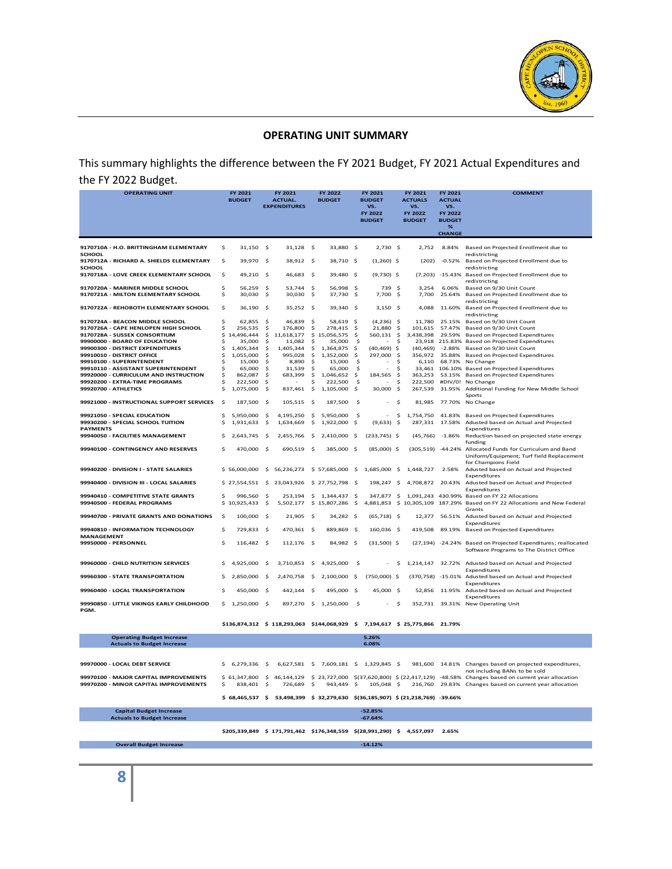

#### **OPERATING UNIT SUMMARY**

This summary highlights the difference between the FY 2021 Budget, FY 2021 Actual Expenditures and the FY 2022 Budget.

| <b>OPERATING UNIT</b>                                                 |          | FY 2021<br><b>BUDGET</b> |           | FY 2021<br><b>ACTUAL.</b><br><b>EXPENDITURES</b> |            | FY 2022<br><b>BUDGET</b>     |           | FY 2021<br><b>BUDGET</b><br>VS.<br>FY 2022<br><b>BUDGET</b> |           | FY 2021<br><b>ACTUALS</b><br>VS.<br>FY 2022<br><b>BUDGET</b> | FY 2021<br><b>ACTUAL</b><br>VS.<br>FY 2022<br><b>BUDGET</b><br>%<br><b>CHANGE</b> | <b>COMMENT</b>                                                                                            |
|-----------------------------------------------------------------------|----------|--------------------------|-----------|--------------------------------------------------|------------|------------------------------|-----------|-------------------------------------------------------------|-----------|--------------------------------------------------------------|-----------------------------------------------------------------------------------|-----------------------------------------------------------------------------------------------------------|
| 9170710A - H.O. BRITTINGHAM ELEMENTARY                                | \$       | $31,150$ \$              |           | 31,128 \$                                        |            | 33.880 S                     |           | 2.730S                                                      |           | 2.752                                                        | 8.84%                                                                             | Based on Projected Enrollment due to                                                                      |
| <b>SCHOOL</b><br>9170712A - RICHARD A. SHIELDS ELEMENTARY             | \$       | 39,970                   | -\$       | 38,912 \$                                        |            | 38,710 \$                    |           | $(1,260)$ \$                                                |           | (202)                                                        | $-0.52%$                                                                          | redistricting<br>Based on Projected Enrollment due to                                                     |
| SCHOOL<br>9170718A - LOVE CREEK ELEMENTARY SCHOOL                     | \$       | 49,210                   | - \$      | 46,683 \$                                        |            | 39,480 \$                    |           | $(9,730)$ \$                                                |           | (7, 203)                                                     | $-15.43%$                                                                         | redistricting<br>Based on Projected Enrollment due to                                                     |
| 9170720A - MARINER MIDDLE SCHOOL                                      | \$       | 56.259                   | \$        | 53,744 \$                                        |            | 56,998 \$                    |           | 739 S                                                       |           | 3.254                                                        | 6.06%                                                                             | redistricting<br>Based on 9/30 Unit Count                                                                 |
| 9170721A - MILTON ELEMENTARY SCHOOL                                   | \$       | 30,030                   | \$        | 30,030                                           | - \$       | 37,730 \$                    |           | 7,700 \$                                                    |           | 7.700                                                        | 25.64%                                                                            | Based on Projected Enrollment due to                                                                      |
| 9170722A - REHOBOTH ELEMENTARY SCHOOL                                 | \$       | 36,190                   | -S        | 35,252 \$                                        |            | 39,340 \$                    |           | $3,150$ \$                                                  |           | 4,088                                                        | 11.60%                                                                            | redistricting<br>Based on Projected Enrollment due to<br>redistricting                                    |
| 9170724A - BEACON MIDDLE SCHOOL                                       | Ś        | 62.855                   | <b>S</b>  | 46,839                                           | -S         | 58.619 S                     |           | $(4,236)$ \$                                                |           | 11.780                                                       | 25.15%                                                                            | Based on 9/30 Unit Count                                                                                  |
| 9170726A - CAPE HENLOPEN HIGH SCHOOL<br>9170728A - SUSSEX CONSORTIUM  | \$       | 256,535<br>\$14,496,444  | Ś         | 176,800                                          | \$         | 278,415<br>\$15,056,575      | - S       | 21,880                                                      | \$<br>\$  | 101,615                                                      | 57.47%<br>29.59%                                                                  | Based on 9/30 Unit Count                                                                                  |
| 99900000 - BOARD OF EDUCATION                                         | Ś        | 35,000                   | \$<br>s   | 11,618,177<br>11,082                             | \$.        | 35,000                       | -\$<br>-S | 560,131                                                     | \$.       | 3,438,398<br>23,918                                          | 215.83%                                                                           | Based on Projected Expenditures<br>Based on Projected Expenditures                                        |
| 99900300 - DISTRICT EXPENDITURES                                      | \$       | 1,405,344                | Ś         | 1,405,344                                        | \$         | 1,364,875                    | s.        | (40, 469)                                                   | Ŝ.        | (40, 469)                                                    | $-2.88%$                                                                          | Based on 9/30 Unit Count                                                                                  |
| 99910010 - DISTRICT OFFICE                                            | \$       | 1,055,000                | \$        | 995,028                                          | \$         | 1,352,000                    | \$.       | 297,000                                                     | \$.       | 356,972                                                      | 35.88%                                                                            | Based on Projected Expenditures                                                                           |
| 99910100 - SUPERINTENDENT<br>99910110 - ASSISTANT SUPERINTENDENT      | Ś<br>\$  | 15.000<br>65,000         | \$.<br>\$ | 8,890<br>31.539                                  | \$.<br>\$. | 15.000<br>65,000             | -S<br>-\$ |                                                             | S.<br>\$  | 6.110                                                        | 68.73%<br>33,461 106.10%                                                          | No Change<br>Based on Projected Expenditures                                                              |
| 99920000 - CURRICULUM AND INSTRUCTION                                 | \$       | 862,087                  | \$        | 683,399                                          | \$         | 1,046,652                    | -\$       | 184,565                                                     | \$        | 363,253                                                      | 53.15%                                                                            | Based on Projected Expenditures                                                                           |
| 99920200 - EXTRA-TIME PROGRAMS                                        | \$       | 222,500                  | \$.       |                                                  | \$         | 222,500                      | -S        |                                                             | \$.       | 222,500                                                      | #DIV/0!                                                                           | No Change                                                                                                 |
| 99920700 - ATHLETICS                                                  | \$       | 1,075,000                | \$        | 837,461                                          | \$         | 1,105,000                    | -\$       | 30,000                                                      | \$.       | 267,539                                                      | 31.95%                                                                            | Additional Funding for New Middle School                                                                  |
| 99921000 - INSTRUCTIONAL SUPPORT SERVICES                             | \$.      | 187,500                  | -\$       | 105,515 \$                                       |            | 187,500                      | - \$      | $\sim$                                                      | \$.       | 81,985                                                       | 77.70%                                                                            | Sports<br>No Change                                                                                       |
| 99921050 - SPECIAL EDUCATION<br>99930200 - SPECIAL SCHOOL TUITION     | \$<br>\$ | 5,950,000<br>1,931,633   | \$<br>\$  | 4,195,250<br>1,634,669                           | -\$<br>-\$ | 5,950,000<br>1,922,000       | -\$<br>-S | $\sim$<br>(9,633)                                           | \$<br>\$. | 1,754,750<br>287,331                                         | 41.83%<br>17.58%                                                                  | Based on Projected Expenditures<br>Adusted based on Actual and Projected                                  |
| <b>PAYMENTS</b><br>99940050 - FACILITIES MANAGEMENT                   | Ś        | 2,643,745                | <b>S</b>  | 2,455,766                                        | -\$        | 2,410,000 \$                 |           | $(233, 745)$ \$                                             |           | (45, 766)                                                    | $-1.86%$                                                                          | Expenditures<br>Reduction based on projected state energy<br>funding                                      |
| 99940100 - CONTINGENCY AND RESERVES                                   | Ś        | 470,000 \$               |           | 690,519 \$                                       |            | 385,000 \$                   |           | $(85,000)$ \$                                               |           |                                                              |                                                                                   | (305,519) -44.24% Allocated Funds for Curriculum and Band<br>Uniform/Equipment; Turf field Replacement    |
| 99940200 - DIVISION I - STATE SALARIES                                |          | \$56,000,000             | Ś         | 56,236,273                                       |            | \$57,685,000 \$              |           | 1,685,000                                                   | -S        | 1,448,727                                                    | 2.58%                                                                             | for Champions Field<br>Adusted based on Actual and Projected<br>Expenditures                              |
| 99940400 - DIVISION III - LOCAL SALARIES                              |          | \$27,554,551             | \$        | 23,043,926                                       |            | \$27,752,798 \$              |           | 198,247 \$                                                  |           | 4,708,872                                                    | 20.43%                                                                            | Adusted based on Actual and Projected<br>Expenditures                                                     |
| 99940410 - COMPETITIVE STATE GRANTS<br>99940500 - FEDERAL PROGRAMS    | \$<br>\$ | 996,560<br>10,925,433    | S<br>\$   | 253.194<br>5,502,177                             | -\$        | 1,344,437 \$<br>\$15,807,286 | \$.       | 347,877 \$<br>4,881,853                                     |           | 1,091,243<br>\$10,305,109                                    | 430.99%<br>187.29%                                                                | Based on FY 22 Allocations<br>Based on FY 22 Allocations and New Federal                                  |
| 99940700 - PRIVATE GRANTS AND DONATIONS                               | s        | 100,000                  | \$        | 21,905                                           | -\$        | 34,282 \$                    |           | $(65, 718)$ \$                                              |           | 12,377                                                       | 56.51%                                                                            | Grants<br>Adusted based on Actual and Projected<br>Expenditures                                           |
| 99940810 - INFORMATION TECHNOLOGY<br><b>MANAGEMENT</b>                | \$       | 729,833                  | - S       | 470,361 \$                                       |            | 889.869 S                    |           | 160,036 \$                                                  |           | 419,508                                                      | 89.19%                                                                            | Based on Projected Expenditures                                                                           |
| 99950000 - PERSONNEL                                                  | \$       | 116,482 \$               |           | 112,176 \$                                       |            | 84,982 \$                    |           | $(31,500)$ \$                                               |           |                                                              |                                                                                   | (27,194) -24.24% Based on Projected Expenditures; reallocated<br>Software Programs to The District Office |
| 99960000 - CHILD NUTRITION SERVICES                                   | \$       | 4,925,000                | \$        | 3,710,853                                        | \$         | 4,925,000                    | -S        |                                                             | \$        | 1,214,147                                                    | 32.72%                                                                            | Adusted based on Actual and Projected<br>Expenditures                                                     |
| 99960300 - STATE TRANSPORTATION                                       | \$       | 2,850,000                | \$        | 2,470,758                                        | -S         | 2,100,000                    | -\$       | $(750,000)$ \$                                              |           |                                                              |                                                                                   | (370,758) -15.01% Adusted based on Actual and Projected<br>Expenditures                                   |
| 99960400 - LOCAL TRANSPORTATION                                       | Ś        | 450,000                  | \$        | 442,144                                          | -Ś         | 495,000 \$                   |           | 45,000 \$                                                   |           | 52,856                                                       | 11.95%                                                                            | Adusted based on Actual and Projected<br>Expenditures                                                     |
| 99990850 - LITTLE VIKINGS EARLY CHILDHOOD<br>PGM.                     |          | $$1,250,000$ \$          |           | 897,270 \$                                       |            | 1,250,000                    | -\$       |                                                             | \$        |                                                              |                                                                                   | 352,731 39.31% New Operating Unit                                                                         |
|                                                                       |          |                          |           | \$136,874,312 \$ 118,293,063 \$144,068,929 \$    |            |                              |           |                                                             |           | 7,194,617 \$ 25,775,866 21.79%                               |                                                                                   |                                                                                                           |
| <b>Operating Budget Increase</b><br><b>Actuals to Budget Increase</b> |          |                          |           |                                                  |            |                              |           | 5.26%<br>6.08%                                              |           |                                                              |                                                                                   |                                                                                                           |
|                                                                       |          |                          |           |                                                  |            |                              |           |                                                             |           |                                                              |                                                                                   |                                                                                                           |
| 99970000 - LOCAL DEBT SERVICE                                         | Ś.       | 6,279,336                | <b>S</b>  | 6,627,581 \$                                     |            | 7,609,181 \$                 |           | 1,329,845 \$                                                |           |                                                              |                                                                                   | 981,600 14.81% Changes based on projected expenditures,                                                   |

| <b>Capital Budget Increase</b><br><b>Actuals to Budget Increase</b> |                  |     |                                                                 |                                     | $-52.85%$<br>$-67.64%$ |  |                                                                                                                                           |
|---------------------------------------------------------------------|------------------|-----|-----------------------------------------------------------------|-------------------------------------|------------------------|--|-------------------------------------------------------------------------------------------------------------------------------------------|
|                                                                     | $$68.465.537$ \$ |     | 53.498.399 \$ 32.279.630 \$(36.185.907) \$ (21.218.769) -39.66% |                                     |                        |  |                                                                                                                                           |
| 99970200 - MINOR CAPITAL IMPROVEMENTS                               | 838.401 S        |     | 726.689 S                                                       | 943.449 S                           | 105.048 S              |  | 216.760 29.83% Changes based on current year allocation                                                                                   |
| 99970100 - MAJOR CAPITAL IMPROVEMENTS                               | \$61,347,800     | -S. |                                                                 |                                     |                        |  | not including BANs to be sold<br>46,144,129 \$ 23,727,000 \$(37,620,800) \$ (22,417,129) -48.58% Changes based on current year allocation |
| 99970000 - LOCAL DEBT SERVICE                                       | S 6.279.336 S    |     |                                                                 | 6.627.581 S 7.609.181 S 1.329.845 S |                        |  | .981.600 14.81% Changes based on projected expenditures                                                                                   |

 **\$205,339,849 \$ 171,791,462 \$176,348,559 \$(28,991,290) \$ 4,557,097 2.65%**

 **Overall Budget Increase -14.12%**

**8**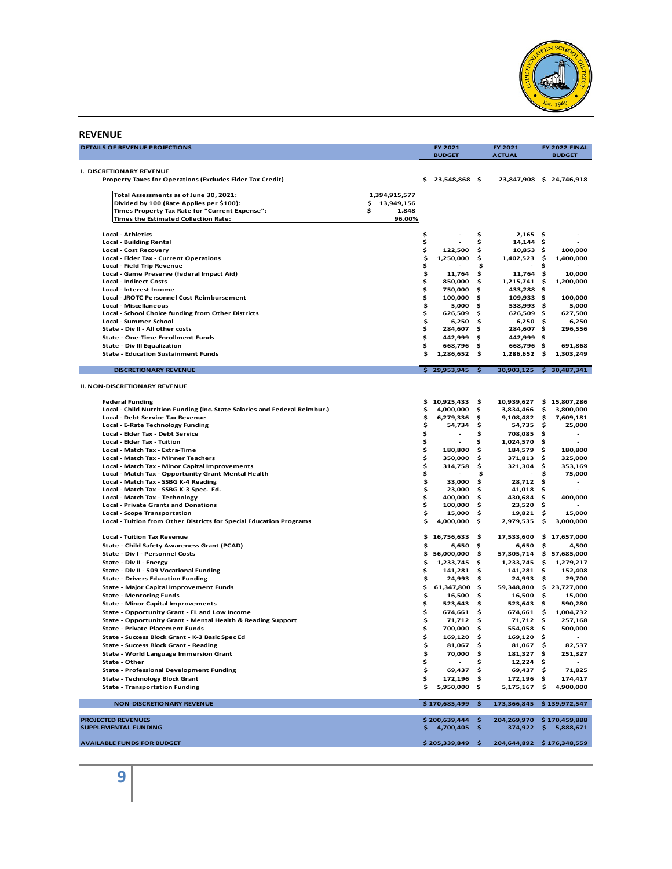

#### **REVENUE**

| DETAILS OF REVENUE PROJECTIONS                                                                                 |                   |          | FY 2021<br><b>BUDGET</b>   |              | FY 2021<br><b>ACTUAL</b>   |      | FY 2022 FINAL<br><b>BUDGET</b> |
|----------------------------------------------------------------------------------------------------------------|-------------------|----------|----------------------------|--------------|----------------------------|------|--------------------------------|
|                                                                                                                |                   |          |                            |              |                            |      |                                |
| I. DISCRETIONARY REVENUE<br>Property Taxes for Operations (Excludes Elder Tax Credit)                          |                   |          | \$23,548,868\$             |              |                            |      | 23,847,908 \$ 24,746,918       |
|                                                                                                                |                   |          |                            |              |                            |      |                                |
| Total Assessments as of June 30, 2021:                                                                         | 1,394,915,577     |          |                            |              |                            |      |                                |
| Divided by 100 (Rate Applies per \$100):                                                                       | 13,949,156<br>\$. |          |                            |              |                            |      |                                |
| Times Property Tax Rate for "Current Expense":                                                                 | \$<br>1.848       |          |                            |              |                            |      |                                |
| Times the Estimated Collection Rate:                                                                           | 96.00%            |          |                            |              |                            |      |                                |
| <b>Local - Athletics</b>                                                                                       |                   | \$       |                            | \$           | $2,165$ \$                 |      |                                |
| <b>Local - Building Rental</b>                                                                                 |                   | \$       |                            | \$           | $14,144$ \$                |      |                                |
| <b>Local - Cost Recovery</b>                                                                                   |                   | \$       | 122,500                    | \$           | $10,853$ \$                |      | 100,000                        |
| Local - Elder Tax - Current Operations                                                                         |                   | \$       | 1,250,000                  | \$           | 1,402,523 \$               |      | 1,400,000                      |
| <b>Local - Field Trip Revenue</b>                                                                              |                   | \$       |                            | \$           | $\blacksquare$             | \$   |                                |
| Local - Game Preserve (federal Impact Aid)                                                                     |                   | \$       | 11,764                     | \$           | $11,764$ \$                |      | 10,000                         |
| <b>Local - Indirect Costs</b><br>Local - Interest Income                                                       |                   | \$<br>\$ | 850,000<br>750,000         | \$<br>\$.    | 1,215,741<br>433,288 \$    | -\$  | 1,200,000                      |
| <b>Local - JROTC Personnel Cost Reimbursement</b>                                                              |                   | \$       | 100,000                    | \$           | $109,933$ \$               |      | 100,000                        |
| <b>Local - Miscellaneous</b>                                                                                   |                   | \$       | 5,000                      | \$           | 538,993 \$                 |      | 5,000                          |
| Local - School Choice funding from Other Districts                                                             |                   | \$       | 626,509                    | \$           | 626,509 \$                 |      | 627,500                        |
| Local - Summer School                                                                                          |                   | \$       | 6,250                      | \$.          | $6,250$ \$                 |      | 6,250                          |
| State - Div II - All other costs                                                                               |                   | \$       | 284,607                    | \$.          | 284,607 \$                 |      | 296,556                        |
| State - One-Time Enrollment Funds                                                                              |                   | \$       | 442,999                    | \$           | 442,999\$                  |      |                                |
| <b>State - Div III Equalization</b>                                                                            |                   | \$       | 668,796                    | \$           | 668,796\$                  |      | 691,868                        |
| <b>State - Education Sustainment Funds</b>                                                                     |                   | \$       | 1,286,652                  | \$.          | 1,286,652 \$               |      | 1,303,249                      |
|                                                                                                                |                   |          |                            | $\mathsf{S}$ |                            |      | 30,903,125 \$ 30,487,341       |
| <b>DISCRETIONARY REVENUE</b>                                                                                   |                   |          | \$29,953,945               |              |                            |      |                                |
| <b>II. NON-DISCRETIONARY REVENUE</b>                                                                           |                   |          |                            |              |                            |      |                                |
|                                                                                                                |                   |          |                            |              |                            |      |                                |
| <b>Federal Funding</b>                                                                                         |                   | \$       | 10,925,433 \$              |              | 10,939,627                 |      | \$15,807,286                   |
| Local - Child Nutrition Funding (Inc. State Salaries and Federal Reimbur.)<br>Local - Debt Service Tax Revenue |                   | \$       | 4,000,000                  | \$.          | 3,834,466                  | \$   | 3,800,000                      |
| Local - E-Rate Technology Funding                                                                              |                   | \$<br>\$ | 6,279,336<br>54,734        | \$<br>\$     | 9,108,482 \$<br>54,735 \$  |      | 7,609,181<br>25,000            |
| Local - Elder Tax - Debt Service                                                                               |                   | \$       |                            | \$           | 708,085 \$                 |      |                                |
| <b>Local - Elder Tax - Tuition</b>                                                                             |                   | \$       | $\frac{1}{2}$              | \$           | 1,024,570 \$               |      |                                |
| Local - Match Tax - Extra-Time                                                                                 |                   | \$       | 180,800                    | \$           | 184,579                    | -\$  | 180,800                        |
| Local - Match Tax - Minner Teachers                                                                            |                   | \$       | 350,000                    | \$           | 371,813                    | - \$ | 325,000                        |
| Local - Match Tax - Minor Capital Improvements                                                                 |                   | \$       | 314,758                    | \$           | 321,304                    | -\$  | 353,169                        |
| Local - Match Tax - Opportunity Grant Mental Health                                                            |                   | \$       |                            | \$           |                            | \$   | 75,000                         |
| Local - Match Tax - SSBG K-4 Reading                                                                           |                   | \$       | 33,000                     | \$           | 28,712 \$                  |      |                                |
| Local - Match Tax - SSBG K-3 Spec. Ed.                                                                         |                   | \$       | 23,000                     | \$           | 41,018                     | - \$ |                                |
| Local - Match Tax - Technology                                                                                 |                   | \$       | 400,000                    | \$           | 430,684 \$                 |      | 400,000                        |
| <b>Local - Private Grants and Donations</b>                                                                    |                   | \$       | 100,000                    | \$.          | $23,520$ \$                |      |                                |
| <b>Local - Scope Transportation</b>                                                                            |                   | \$       | 15,000                     | \$.          | 19,821 \$                  |      | 15,000                         |
| Local - Tuition from Other Districts for Special Education Programs                                            |                   | \$       | 4,000,000                  | \$           | 2,979,535                  | -\$  | 3,000,000                      |
| <b>Local - Tuition Tax Revenue</b>                                                                             |                   | \$       | 16,756,633                 | \$           | 17,533,600                 |      | \$17,657,000                   |
| State - Child Safety Awareness Grant (PCAD)                                                                    |                   | \$       | 6,650                      | \$           | 6,650                      | \$   | 4,500                          |
| State - Div I - Personnel Costs                                                                                |                   | \$       | 56,000,000                 | s.           | 57,305,714                 |      | \$57,685,000                   |
| State - Div II - Energy                                                                                        |                   | \$       | 1,233,745                  | \$           | 1,233,745                  | -\$  | 1,279,217                      |
| State - Div II - 509 Vocational Funding                                                                        |                   | \$       | $141,281$ \$               |              | $141,281$ \$               |      | 152,408                        |
| <b>State - Drivers Education Funding</b>                                                                       |                   | \$       | $24,993$ \$                |              | 24,993                     | - \$ | 29,700                         |
| State - Major Capital Improvement Funds                                                                        |                   | \$       | 61,347,800 \$              |              |                            |      | 59,348,800 \$ 23,727,000       |
| <b>State - Mentoring Funds</b>                                                                                 |                   | \$       | $16,500$ \$                |              | 16,500                     | - \$ | 15,000                         |
| <b>State - Minor Capital Improvements</b>                                                                      |                   | \$       | 523,643                    | - Ş          | $523,643$ \$               |      | 590,280                        |
| State - Opportunity Grant - EL and Low Income                                                                  |                   | \$       | 674,661                    | \$.          | 674,661 \$                 |      | 1,004,732                      |
| <b>State - Opportunity Grant - Mental Health &amp; Reading Support</b>                                         |                   | \$       | 71,712                     | \$.          | 71,712 \$                  |      | 257,168                        |
| <b>State - Private Placement Funds</b>                                                                         |                   | \$       | 700,000                    | \$           | 554,058 \$                 |      | 500,000                        |
| State - Success Block Grant - K-3 Basic Spec Ed                                                                |                   |          | 169,120 \$                 |              | 169,120 \$                 |      |                                |
| State - Success Block Grant - Reading                                                                          |                   | \$       | 81,067 \$                  |              | 81,067 \$                  |      | 82,537                         |
| State - World Language Immersion Grant                                                                         |                   | \$       | 70,000 \$                  |              | $181,327$ \$               |      | 251,327                        |
| State - Other                                                                                                  |                   | \$       |                            | s            | $12,224$ \$                |      |                                |
| <b>State - Professional Development Funding</b><br><b>State - Technology Block Grant</b>                       |                   | \$<br>\$ | $69,437$ \$                |              | 69,437\$                   |      | 71,825                         |
| <b>State - Transportation Funding</b>                                                                          |                   | Ś        | 172,196 \$<br>5,950,000 \$ |              | 172,196 \$<br>5,175,167 \$ |      | 174,417<br>4,900,000           |
|                                                                                                                |                   |          |                            |              |                            |      |                                |
| <b>NON-DISCRETIONARY REVENUE</b>                                                                               |                   |          | $$170,685,499$ \$          |              | 173,366,845 \$139,972,547  |      |                                |
| <b>PROJECTED REVENUES</b>                                                                                      |                   |          | $$200,639,444$ \$          |              | 204,269,970                |      | \$170,459,888                  |
| SUPPLEMENTAL FUNDING                                                                                           |                   | s.       | 4,700,405                  | \$           | 374,922                    | \$.  | 5,888,671                      |
| <b>AVAILABLE FUNDS FOR BUDGET</b>                                                                              |                   |          | $$205,339,849$ \$          |              | 204,644,892 \$176,348,559  |      |                                |
|                                                                                                                |                   |          |                            |              |                            |      |                                |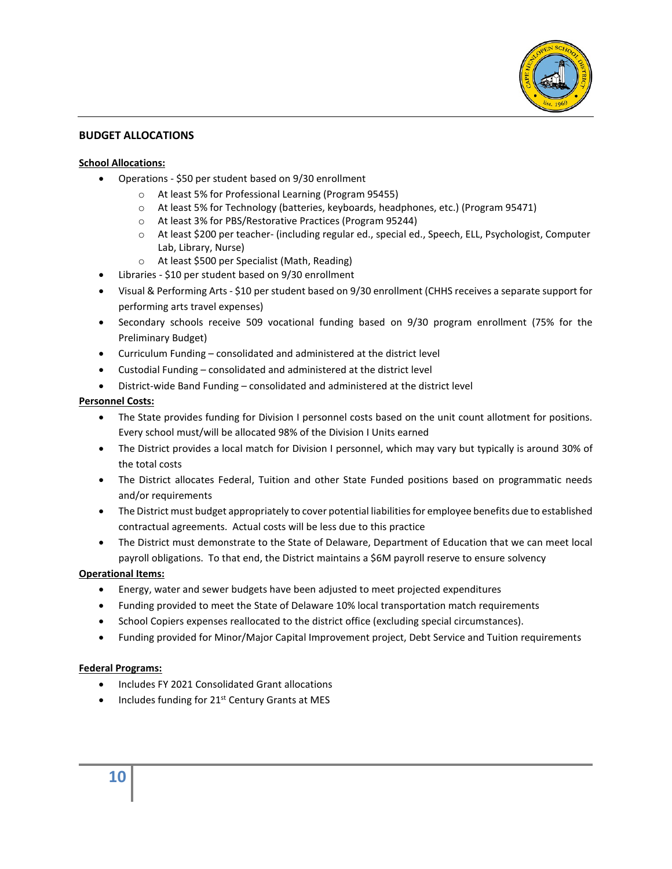

#### **BUDGET ALLOCATIONS**

#### **School Allocations:**

- Operations \$50 per student based on 9/30 enrollment
	- o At least 5% for Professional Learning (Program 95455)
	- o At least 5% for Technology (batteries, keyboards, headphones, etc.) (Program 95471)
	- o At least 3% for PBS/Restorative Practices (Program 95244)
	- o At least \$200 per teacher- (including regular ed., special ed., Speech, ELL, Psychologist, Computer Lab, Library, Nurse)
	- o At least \$500 per Specialist (Math, Reading)
- Libraries \$10 per student based on 9/30 enrollment
- Visual & Performing Arts \$10 per student based on 9/30 enrollment (CHHS receives a separate support for performing arts travel expenses)
- Secondary schools receive 509 vocational funding based on 9/30 program enrollment (75% for the Preliminary Budget)
- Curriculum Funding consolidated and administered at the district level
- Custodial Funding consolidated and administered at the district level
- District-wide Band Funding consolidated and administered at the district level

#### **Personnel Costs:**

- The State provides funding for Division I personnel costs based on the unit count allotment for positions. Every school must/will be allocated 98% of the Division I Units earned
- The District provides a local match for Division I personnel, which may vary but typically is around 30% of the total costs
- The District allocates Federal, Tuition and other State Funded positions based on programmatic needs and/or requirements
- The District must budget appropriately to cover potential liabilities for employee benefits due to established contractual agreements. Actual costs will be less due to this practice
- The District must demonstrate to the State of Delaware, Department of Education that we can meet local payroll obligations. To that end, the District maintains a \$6M payroll reserve to ensure solvency

#### **Operational Items:**

- Energy, water and sewer budgets have been adjusted to meet projected expenditures
- Funding provided to meet the State of Delaware 10% local transportation match requirements
- School Copiers expenses reallocated to the district office (excluding special circumstances).
- Funding provided for Minor/Major Capital Improvement project, Debt Service and Tuition requirements

#### **Federal Programs:**

- Includes FY 2021 Consolidated Grant allocations
- $\bullet$  Includes funding for 21<sup>st</sup> Century Grants at MES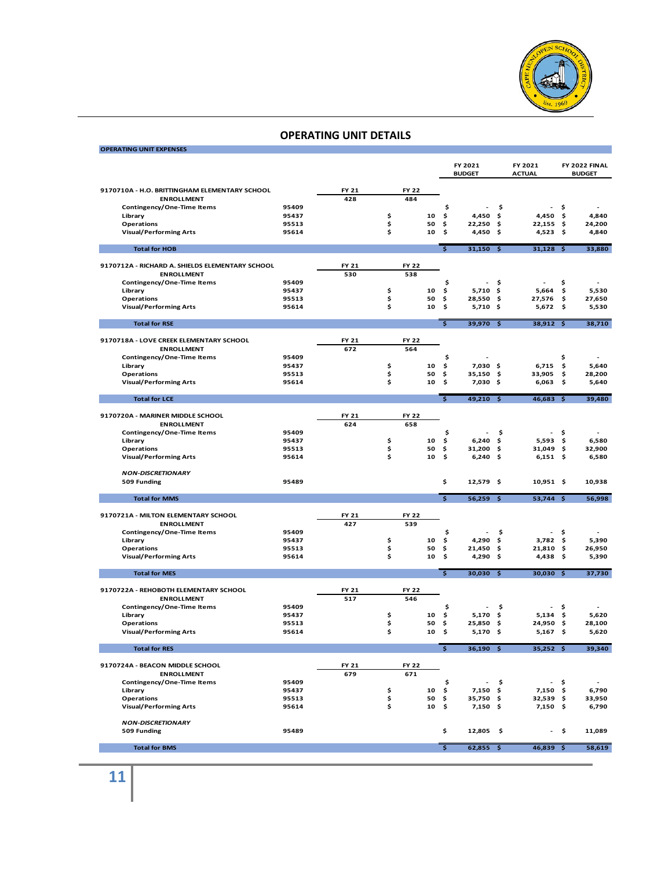

| <b>OPERATING UNIT EXPENSES</b>                     |                |       |          |              |              |                         |                          |          |                          |              |                                |
|----------------------------------------------------|----------------|-------|----------|--------------|--------------|-------------------------|--------------------------|----------|--------------------------|--------------|--------------------------------|
|                                                    |                |       |          |              |              |                         |                          |          |                          |              |                                |
|                                                    |                |       |          |              |              |                         | FY 2021<br><b>BUDGET</b> |          | FY 2021<br><b>ACTUAL</b> |              | FY 2022 FINAL<br><b>BUDGET</b> |
|                                                    |                |       |          |              |              |                         |                          |          |                          |              |                                |
| 9170710A - H.O. BRITTINGHAM ELEMENTARY SCHOOL      |                | FY 21 |          | <b>FY 22</b> |              |                         |                          |          |                          |              |                                |
| <b>ENROLLMENT</b>                                  |                | 428   |          | 484          |              |                         |                          |          |                          |              |                                |
| Contingency/One-Time Items                         | 95409          |       |          |              |              | \$                      |                          | \$       |                          | \$           |                                |
| Library<br><b>Operations</b>                       | 95437<br>95513 |       | \$<br>\$ |              | 10<br>50     | \$<br>\$                | 4,450<br>22,250          | \$<br>\$ | 4,450<br>22,155          | \$<br>\$     | 4,840<br>24,200                |
| <b>Visual/Performing Arts</b>                      | 95614          |       | \$       |              | 10           | \$                      | 4,450                    | -\$      | 4,523                    | - \$         | 4,840                          |
|                                                    |                |       |          |              |              |                         |                          |          |                          |              |                                |
| <b>Total for HOB</b>                               |                |       |          |              |              | $\overline{\mathsf{s}}$ | $31,150$ \$              |          | $31,128$ \$              |              | 33,880                         |
| 9170712A - RICHARD A. SHIELDS ELEMENTARY SCHOOL    |                | FY 21 |          | <b>FY 22</b> |              |                         |                          |          |                          |              |                                |
| <b>ENROLLMENT</b>                                  |                | 530   |          | 538          |              |                         |                          |          |                          |              |                                |
| Contingency/One-Time Items                         | 95409          |       |          |              |              | \$                      | $\overline{a}$           | \$       | $\overline{a}$           | \$           |                                |
| Library                                            | 95437          |       | \$       |              | 10           | \$                      | 5,710                    | -\$      | 5,664                    | \$           | 5,530                          |
| <b>Operations</b>                                  | 95513          |       | \$       |              | 50           | \$                      | 28,550                   | -\$      | 27,576                   | \$           | 27,650                         |
| <b>Visual/Performing Arts</b>                      | 95614          |       | \$       |              | 10           | \$                      | $5,710$ \$               |          | 5,672                    | \$           | 5,530                          |
| <b>Total for RSE</b>                               |                |       |          |              |              | ड                       | 39,970 \$                |          | 38,912 \$                |              | 38,710                         |
|                                                    |                |       |          |              |              |                         |                          |          |                          |              |                                |
| 9170718A - LOVE CREEK ELEMENTARY SCHOOL            |                | FY 21 |          | <b>FY 22</b> |              |                         |                          |          |                          |              |                                |
| <b>ENROLLMENT</b><br>Contingency/One-Time Items    | 95409          | 672   |          | 564          |              | \$                      |                          |          |                          | \$           |                                |
| Library                                            | 95437          |       | \$       |              | 10           | \$                      | $7,030$ \$               |          | 6,715                    | \$           | 5,640                          |
| Operations                                         | 95513          |       | \$       |              | 50           | \$                      | 35,150 \$                |          | 33,905                   | \$           | 28,200                         |
| <b>Visual/Performing Arts</b>                      | 95614          |       | \$       |              | 10           | \$                      | 7,030 \$                 |          | 6,063                    | \$           | 5,640                          |
| <b>Total for LCE</b>                               |                |       |          |              |              | $\mathsf{s}$            | 49,210 \$                |          | $46,683$ \$              |              | 39,480                         |
|                                                    |                |       |          |              |              |                         |                          |          |                          |              |                                |
| 9170720A - MARINER MIDDLE SCHOOL                   |                | FY 21 |          | <b>FY 22</b> |              |                         |                          |          |                          |              |                                |
| <b>ENROLLMENT</b>                                  |                | 624   |          | 658          |              |                         |                          |          |                          |              |                                |
| Contingency/One-Time Items                         | 95409          |       |          |              |              | \$                      |                          | \$       |                          | \$           |                                |
| Library                                            | 95437          |       | \$       |              | 10           | \$                      | 6,240                    | \$       | 5,593                    | -\$          | 6,580                          |
| <b>Operations</b><br><b>Visual/Performing Arts</b> | 95513<br>95614 |       | \$<br>\$ |              | 50<br>10     | \$<br>\$                | 31,200 \$<br>6,240       | \$       | 31,049<br>6,151          | - \$<br>- \$ | 32,900<br>6,580                |
|                                                    |                |       |          |              |              |                         |                          |          |                          |              |                                |
| <b>NON-DISCRETIONARY</b>                           |                |       |          |              |              |                         |                          |          |                          |              |                                |
| 509 Funding                                        | 95489          |       |          |              |              | \$                      | 12,579 \$                |          | 10,951 \$                |              | 10,938                         |
| <b>Total for MMS</b>                               |                |       |          |              |              | $\overline{\mathsf{s}}$ | $56,259$ \$              |          | 53,744 \$                |              | 56,998                         |
|                                                    |                |       |          |              |              |                         |                          |          |                          |              |                                |
| 9170721A - MILTON ELEMENTARY SCHOOL                |                | FY 21 |          | <b>FY 22</b> |              |                         |                          |          |                          |              |                                |
| <b>ENROLLMENT</b><br>Contingency/One-Time Items    | 95409          | 427   |          | 539          |              | \$                      |                          | \$       | $\overline{\phantom{a}}$ | \$           |                                |
| Library                                            | 95437          |       | \$       |              | 10           | \$                      | 4,290                    | \$       | 3,782                    | - \$         | 5,390                          |
| <b>Operations</b>                                  | 95513          |       | \$       |              | 50           | \$                      | 21,450                   | -\$      | 21,810 \$                |              | 26,950                         |
| <b>Visual/Performing Arts</b>                      | 95614          |       | \$       |              | 10           | \$                      | 4,290 \$                 |          | 4,438 \$                 |              | 5,390                          |
|                                                    |                |       |          |              |              | $\overline{\mathbf{s}}$ |                          |          |                          |              |                                |
| <b>Total for MES</b>                               |                |       |          |              |              |                         | 30,030 \$                |          | 30,030 \$                |              | 37,730                         |
| 9170722A - REHOBOTH ELEMENTARY SCHOOL              |                | FY 21 |          | <b>FY 22</b> |              |                         |                          |          |                          |              |                                |
| <b>ENROLLMENT</b>                                  |                | 517   |          | 546          |              |                         |                          |          |                          |              |                                |
| Contingency/One-Time Items                         | 95409          |       |          |              |              | \$                      |                          | \$       |                          | \$           |                                |
| Library                                            | 95437          |       | \$       |              | 10           | \$                      | 5.170                    | \$       | 5,134                    | \$           | 5,620                          |
| <b>Operations</b><br><b>Visual/Performing Arts</b> | 95513<br>95614 |       | \$<br>\$ |              | 50<br>10     | \$<br>\$                | 25,850<br>5,170          | \$<br>\$ | 24,950<br>5,167          | \$<br>\$     | 28,100<br>5,620                |
|                                                    |                |       |          |              |              |                         |                          |          |                          |              |                                |
| <b>Total for RES</b>                               |                |       |          |              |              | $\overline{\mathsf{s}}$ | $36,190$ \$              |          | $35,252$ \$              |              | 39,340                         |
| 9170724A - BEACON MIDDLE SCHOOL                    |                | FY 21 |          | FY 22        |              |                         |                          |          |                          |              |                                |
| <b>ENROLLMENT</b>                                  |                | 679   |          | 671          |              |                         |                          |          |                          |              |                                |
| Contingency/One-Time Items                         | 95409          |       |          |              |              | \$                      | $\sim$                   | \$       |                          | - \$         | $\overline{\phantom{a}}$       |
| Library                                            | 95437          |       | \$       |              | 10           | \$                      | $7,150$ \$               |          | $7,150$ \$               |              | 6,790                          |
| <b>Operations</b>                                  | 95513          |       | \$       |              | 50           | \$                      | 35,750 \$                |          | 32,539 \$                |              | 33,950                         |
| <b>Visual/Performing Arts</b>                      | 95614          |       | \$       |              | $10 \quad $$ |                         | $7,150$ \$               |          | $7,150$ \$               |              | 6,790                          |
| <b>NON-DISCRETIONARY</b>                           |                |       |          |              |              |                         |                          |          |                          |              |                                |
| 509 Funding                                        | 95489          |       |          |              |              | \$                      | $12,805$ \$              |          |                          | - \$         | 11,089                         |
|                                                    |                |       |          |              |              |                         |                          |          |                          |              |                                |
| <b>Total for BMS</b>                               |                |       |          |              |              | $\overline{\mathsf{s}}$ | $62,855$ \$              |          | 46,839 \$                |              | 58,619                         |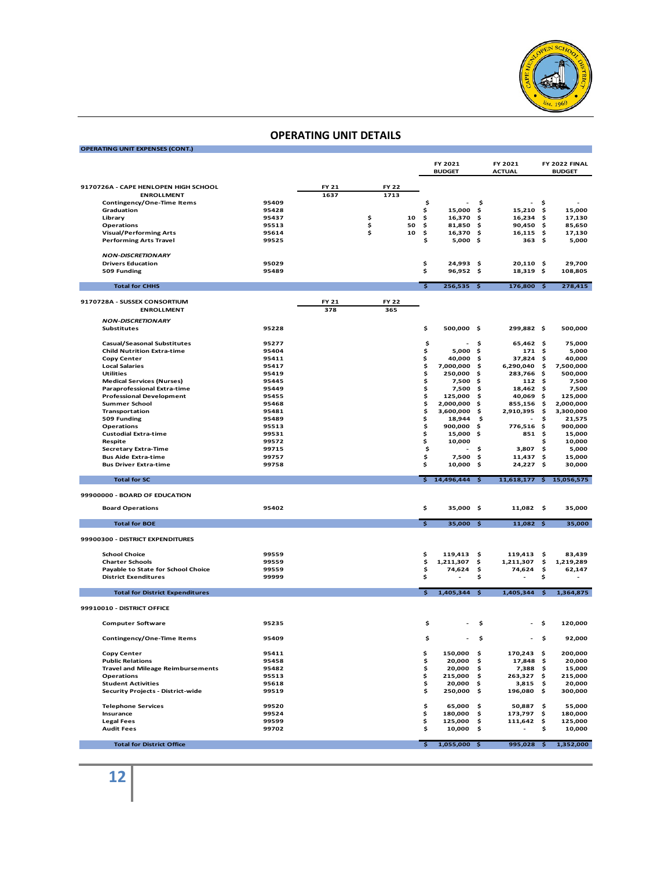

#### **OPERATING UNIT EXPENSES (CONT.)**

|                                                                         |                |       |              |    |                         | FY 2021<br><b>BUDGET</b> |          | FY 2021<br><b>ACTUAL</b> |      | FY 2022 FINAL<br><b>BUDGET</b> |
|-------------------------------------------------------------------------|----------------|-------|--------------|----|-------------------------|--------------------------|----------|--------------------------|------|--------------------------------|
|                                                                         |                |       |              |    |                         |                          |          |                          |      |                                |
| 9170726A - CAPE HENLOPEN HIGH SCHOOL                                    |                | FY 21 | <b>FY 22</b> |    |                         |                          |          |                          |      |                                |
| <b>ENROLLMENT</b>                                                       |                | 1637  | 1713         |    |                         |                          |          |                          |      |                                |
| Contingency/One-Time Items                                              | 95409          |       |              |    | \$                      |                          | \$       |                          | \$   |                                |
| Graduation                                                              | 95428          |       |              |    | \$                      | 15,000                   | \$       | 15,210                   | \$   | 15,000                         |
| Library                                                                 | 95437          |       | \$           | 10 | \$                      | 16,370                   | \$       | 16,234                   | \$   | 17,130                         |
| <b>Operations</b>                                                       | 95513          |       | \$           | 50 | \$                      | 81,850                   | \$       | 90,450                   | \$   | 85,650                         |
| <b>Visual/Performing Arts</b>                                           | 95614<br>99525 |       | \$           | 10 | \$<br>\$                | 16,370 \$<br>5,000       |          | $16,115$ \$<br>363       | - \$ | 17,130<br>5,000                |
| <b>Performing Arts Travel</b>                                           |                |       |              |    |                         |                          | \$       |                          |      |                                |
| <b>NON-DISCRETIONARY</b>                                                |                |       |              |    |                         |                          |          |                          |      |                                |
| <b>Drivers Education</b>                                                | 95029          |       |              |    | \$                      | 24,993                   | \$.      | 20,110 \$                |      | 29,700                         |
| 509 Funding                                                             | 95489          |       |              |    | \$                      | 96,952 \$                |          | 18,319 \$                |      | 108,805                        |
|                                                                         |                |       |              |    |                         |                          |          |                          |      |                                |
| <b>Total for CHHS</b>                                                   |                |       |              |    | $\overline{\mathsf{s}}$ | $256,535$ \$             |          | $176,800$ \$             |      | 278,415                        |
| 9170728A - SUSSEX CONSORTIUM                                            |                | FY 21 | <b>FY 22</b> |    |                         |                          |          |                          |      |                                |
| <b>ENROLLMENT</b>                                                       |                | 378   | 365          |    |                         |                          |          |                          |      |                                |
|                                                                         |                |       |              |    |                         |                          |          |                          |      |                                |
| <b>NON-DISCRETIONARY</b>                                                |                |       |              |    |                         |                          |          |                          |      |                                |
| <b>Substitutes</b>                                                      | 95228          |       |              |    | \$                      | 500,000 \$               |          | 299,882 \$               |      | 500,000                        |
|                                                                         |                |       |              |    |                         |                          |          |                          |      |                                |
| <b>Casual/Seasonal Substitutes</b><br><b>Child Nutrition Extra-time</b> | 95277<br>95404 |       |              |    | \$<br>\$                | 5,000                    | \$<br>\$ | 65,462 \$<br>171S        |      | 75,000<br>5,000                |
| <b>Copy Center</b>                                                      | 95411          |       |              |    | \$                      | 40,000                   | \$       | 37,824 \$                |      | 40,000                         |
| <b>Local Salaries</b>                                                   | 95417          |       |              |    | \$                      | 7,000,000                | - \$     | 6,290,040                | \$   | 7,500,000                      |
| <b>Utilities</b>                                                        | 95419          |       |              |    | \$                      | 250,000                  | .s       | 283,766                  | \$   | 500,000                        |
| <b>Medical Services (Nurses)</b>                                        | 95445          |       |              |    | \$                      | 7,500                    | \$       | $112 \div$               |      | 7,500                          |
| <b>Paraprofessional Extra-time</b>                                      | 95449          |       |              |    | \$                      | 7.500                    | \$       | 18,462                   | \$   | 7,500                          |
| <b>Professional Development</b>                                         | 95455          |       |              |    | \$                      | 125,000                  | \$       | 40,069                   | \$   | 125,000                        |
| <b>Summer School</b>                                                    | 95468          |       |              |    | \$                      | 2,000,000                | \$       | 855,156                  | -\$  | 2,000,000                      |
| Transportation                                                          | 95481          |       |              |    | \$                      | 3,600,000                | \$       | 2,910,395                | \$   | 3,300,000                      |
| 509 Funding                                                             | 95489          |       |              |    | \$                      | 18,944                   | \$       |                          | \$   | 21,575                         |
| <b>Operations</b>                                                       | 95513          |       |              |    | \$                      | 900.000                  | \$       | 776,516                  | - \$ | 900,000                        |
| <b>Custodial Extra-time</b>                                             | 99531          |       |              |    | \$                      | 15,000                   | \$       | 851                      | \$   | 15,000                         |
| Respite                                                                 | 99572          |       |              |    | \$                      | 10,000                   |          |                          | \$   | 10,000                         |
| <b>Secretary Extra-Time</b>                                             | 99715          |       |              |    | \$                      |                          | \$       | 3,807                    | \$   | 5,000                          |
| <b>Bus Aide Extra-time</b>                                              | 99757          |       |              |    | \$                      | 7,500                    | \$       | 11,437                   | \$   | 15,000                         |
| <b>Bus Driver Extra-time</b>                                            | 99758          |       |              |    | \$                      | 10,000                   | \$       | 24,227                   | \$   | 30,000                         |
|                                                                         |                |       |              |    |                         |                          |          |                          |      |                                |
| <b>Total for SC</b>                                                     |                |       |              |    | \$                      | 14,496,444 \$            |          | 11,618,177 \$ 15,056,575 |      |                                |
| 99900000 - BOARD OF EDUCATION                                           |                |       |              |    |                         |                          |          |                          |      |                                |
|                                                                         |                |       |              |    |                         |                          |          |                          |      |                                |
| <b>Board Operations</b>                                                 | 95402          |       |              |    | \$                      | 35,000 \$                |          | $11,082$ \$              |      | 35,000                         |
| <b>Total for BOE</b>                                                    |                |       |              |    | $\overline{\mathsf{s}}$ | 35,000 \$                |          | $11,082$ \$              |      | 35,000                         |
|                                                                         |                |       |              |    |                         |                          |          |                          |      |                                |
| 99900300 - DISTRICT EXPENDITURES                                        |                |       |              |    |                         |                          |          |                          |      |                                |
| <b>School Choice</b>                                                    | 99559          |       |              |    | \$                      | 119,413                  | \$       | 119,413                  | -\$  | 83,439                         |
| <b>Charter Schools</b>                                                  | 99559          |       |              |    | \$                      | 1,211,307                | \$       | 1,211,307                | \$   | 1,219,289                      |
| Payable to State for School Choice                                      | 99559          |       |              |    | \$                      | 74,624                   | \$       | 74,624                   | \$   | 62,147                         |
| <b>District Exenditures</b>                                             | 99999          |       |              |    | \$                      |                          | \$       |                          | \$   |                                |
|                                                                         |                |       |              |    |                         |                          |          |                          |      |                                |
| <b>Total for District Expenditures</b>                                  |                |       |              |    | $\mathsf{S}$            | $1,405,344$ \$           |          | 1,405,344                | \$.  | 1,364,875                      |
| 99910010 - DISTRICT OFFICE                                              |                |       |              |    |                         |                          |          |                          |      |                                |
|                                                                         |                |       |              |    |                         |                          |          |                          |      |                                |
| <b>Computer Software</b>                                                | 95235          |       |              |    | \$                      |                          | s        |                          | s    | 120,000                        |
|                                                                         |                |       |              |    |                         |                          |          |                          |      |                                |
| Contingency/One-Time Items                                              | 95409          |       |              |    | \$                      |                          | \$       |                          | - \$ | 92,000                         |
| Copy Center                                                             | 95411          |       |              |    | \$                      | 150,000                  | \$       | 170,243                  | -\$  | 200,000                        |
| <b>Public Relations</b>                                                 | 95458          |       |              |    | \$                      | 20,000                   | \$       | 17,848 \$                |      | 20,000                         |
| <b>Travel and Mileage Reimbursements</b>                                | 95482          |       |              |    | \$                      | 20,000                   | \$       | 7,388 \$                 |      | 15,000                         |
| <b>Operations</b>                                                       | 95513          |       |              |    | \$                      | 215,000                  | \$       | 263,327 \$               |      | 215,000                        |
| <b>Student Activities</b>                                               | 95618          |       |              |    | \$                      | 20,000                   | \$       | 3,815                    | \$   | 20,000                         |
| Security Projects - District-wide                                       | 99519          |       |              |    | \$                      | 250,000                  | \$       | 196,080                  | \$   | 300,000                        |
|                                                                         |                |       |              |    |                         |                          |          |                          |      |                                |
| <b>Telephone Services</b>                                               | 99520          |       |              |    | \$                      | 65,000                   | \$       | 50,887                   | -\$  | 55,000                         |
| Insurance                                                               | 99524          |       |              |    | \$                      | 180,000                  | \$       | 173,797                  | \$   | 180,000                        |
| <b>Legal Fees</b>                                                       | 99599          |       |              |    | \$                      | 125,000                  | \$       | 111,642                  | \$   | 125,000                        |
| <b>Audit Fees</b>                                                       | 99702          |       |              |    | \$                      | 10,000                   | \$       |                          | \$   | 10,000                         |
|                                                                         |                |       |              |    |                         |                          |          |                          |      |                                |
| <b>Total for District Office</b>                                        |                |       |              |    | \$                      | $1,055,000$ \$           |          | 995,028 \$               |      | 1,352,000                      |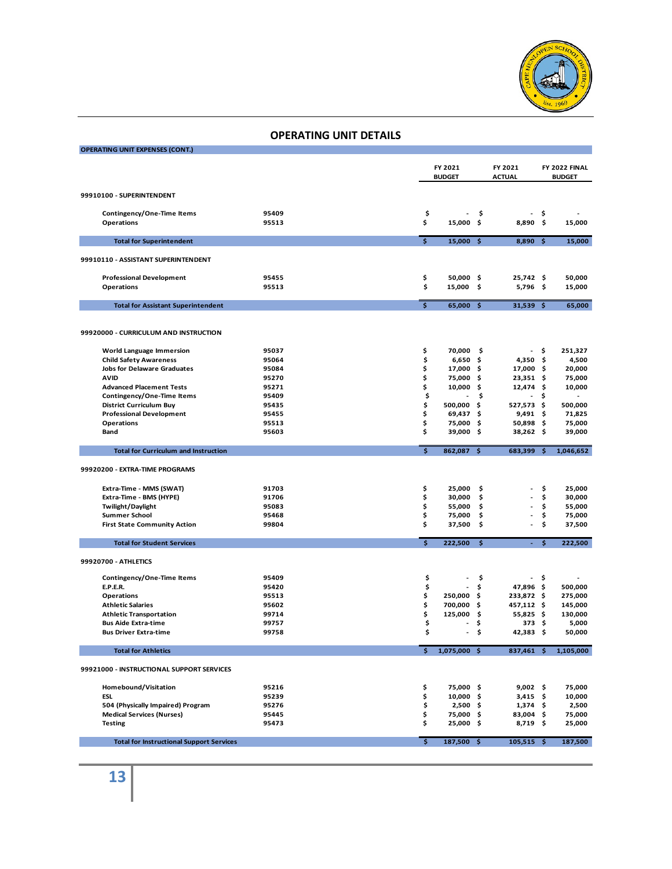

| <b>OPERATING UNIT EXPENSES (CONT.)</b>             |                |                         |                     |               |                          |              |                    |
|----------------------------------------------------|----------------|-------------------------|---------------------|---------------|--------------------------|--------------|--------------------|
|                                                    |                |                         | FY 2021             |               | FY 2021                  |              | FY 2022 FINAL      |
|                                                    |                |                         | <b>BUDGET</b>       |               | <b>ACTUAL</b>            |              | <b>BUDGET</b>      |
|                                                    |                |                         |                     |               |                          |              |                    |
| 99910100 - SUPERINTENDENT                          |                |                         |                     |               |                          |              |                    |
| Contingency/One-Time Items                         | 95409          | \$                      |                     | \$            |                          | \$           |                    |
| <b>Operations</b>                                  | 95513          | \$                      | 15,000              | \$            | 8,890                    | \$           | 15,000             |
|                                                    |                |                         |                     |               |                          |              |                    |
| <b>Total for Superintendent</b>                    |                | \$                      | $15,000$ \$         |               | $8,890$ \$               |              | 15,000             |
| 99910110 - ASSISTANT SUPERINTENDENT                |                |                         |                     |               |                          |              |                    |
| <b>Professional Development</b>                    | 95455          | \$                      | 50,000 \$           |               | $25,742$ \$              |              | 50,000             |
| <b>Operations</b>                                  | 95513          | \$                      | 15,000 \$           |               | 5,796\$                  |              | 15,000             |
| <b>Total for Assistant Superintendent</b>          |                | $\overline{\mathsf{s}}$ | 65,000 \$           |               | $31,539$ \$              |              | 65,000             |
|                                                    |                |                         |                     |               |                          |              |                    |
|                                                    |                |                         |                     |               |                          |              |                    |
| 99920000 - CURRICULUM AND INSTRUCTION              |                |                         |                     |               |                          |              |                    |
| <b>World Language Immersion</b>                    | 95037          | \$                      | 70,000              | \$            |                          | \$           | 251,327            |
| <b>Child Safety Awareness</b>                      | 95064          | \$                      | $6,650$ \$          |               | $4,350$ \$               |              | 4,500              |
| <b>Jobs for Delaware Graduates</b>                 | 95084          | \$                      | 17,000 \$           |               | 17,000 \$                |              | 20,000             |
| <b>AVID</b><br><b>Advanced Placement Tests</b>     | 95270<br>95271 | \$<br>\$                | 75,000 \$<br>10,000 | - \$          | 23,351 \$<br>$12,474$ \$ |              | 75,000<br>10,000   |
| Contingency/One-Time Items                         | 95409          | \$                      | ä,                  | \$            | $\overline{\phantom{a}}$ | \$           |                    |
| <b>District Curriculum Buy</b>                     | 95435          | \$                      | 500,000 \$          |               | 527,573 \$               |              | 500,000            |
| <b>Professional Development</b>                    | 95455          | \$                      | 69,437\$            |               | $9,491$ \$               |              | 71,825             |
| <b>Operations</b>                                  | 95513          | \$                      | 75,000 \$           |               | 50,898 \$                |              | 75,000             |
| Band                                               | 95603          | \$                      | 39,000 \$           |               | $38,262$ \$              |              | 39,000             |
| <b>Total for Curriculum and Instruction</b>        |                | $\overline{\mathsf{s}}$ | 862,087 \$          |               | 683,399 \$               |              | 1,046,652          |
|                                                    |                |                         |                     |               |                          |              |                    |
| 99920200 - EXTRA-TIME PROGRAMS                     |                |                         |                     |               |                          |              |                    |
|                                                    |                |                         |                     |               |                          |              |                    |
| Extra-Time - MMS (SWAT)<br>Extra-Time - BMS (HYPE) | 91703<br>91706 | \$<br>\$                | 25,000<br>30,000    | - \$<br>\$    |                          | \$<br>\$     | 25,000<br>30,000   |
| Twilight/Daylight                                  | 95083          | \$                      | 55,000              | \$            |                          | \$           | 55,000             |
| <b>Summer School</b>                               | 95468          | \$                      | 75,000              | \$            |                          | \$           | 75,000             |
| <b>First State Community Action</b>                | 99804          | \$                      | 37,500              | \$            |                          | \$           | 37,500             |
|                                                    |                |                         |                     |               |                          |              |                    |
| <b>Total for Student Services</b>                  |                | $\overline{\mathsf{s}}$ | 222,500             | $\frac{1}{2}$ | $\omega_{\rm{eff}}$      | $\mathsf{S}$ | 222,500            |
| 99920700 - ATHLETICS                               |                |                         |                     |               |                          |              |                    |
|                                                    |                |                         |                     |               |                          |              |                    |
| Contingency/One-Time Items                         | 95409          | \$                      |                     | \$            |                          | \$           |                    |
| <b>E.P.E.R.</b>                                    | 95420          | \$                      |                     | \$            | 47,896 \$                |              | 500,000            |
| <b>Operations</b><br><b>Athletic Salaries</b>      | 95513<br>95602 | \$<br>\$                | 250,000             | - \$          | 233,872 \$               |              | 275,000            |
| <b>Athletic Transportation</b>                     | 99714          | \$                      | 700,000<br>125,000  | -\$<br>\$     | 457,112 \$<br>55,825 \$  |              | 145,000<br>130,000 |
| <b>Bus Aide Extra-time</b>                         | 99757          | \$                      |                     | \$            | 373 <sub>5</sub>         |              | 5,000              |
| <b>Bus Driver Extra-time</b>                       | 99758          | \$                      |                     | \$            | 42,383                   | - \$         | 50,000             |
|                                                    |                |                         |                     |               |                          |              |                    |
| <b>Total for Athletics</b>                         |                | \$                      | 1,075,000 \$        |               | 837,461 \$               |              | 1,105,000          |
| 99921000 - INSTRUCTIONAL SUPPORT SERVICES          |                |                         |                     |               |                          |              |                    |
| Homebound/Visitation                               | 95216          | \$                      | 75,000 \$           |               | $9,002$ \$               |              | 75,000             |
| <b>ESL</b>                                         | 95239          | \$                      | 10,000 \$           |               | $3,415$ \$               |              | 10,000             |
| 504 (Physically Impaired) Program                  | 95276          | \$                      | $2,500$ \$          |               | $1,374$ \$               |              | 2,500              |
| <b>Medical Services (Nurses)</b>                   | 95445          | \$                      | 75,000 \$           |               | 83,004 \$                |              | 75,000             |
| <b>Testing</b>                                     | 95473          | \$                      | 25,000 \$           |               | 8,719 \$                 |              | 25,000             |
| <b>Total for Instructional Support Services</b>    |                | \$                      | 187,500 \$          |               | $105,515$ \$             |              | 187,500            |
|                                                    |                |                         |                     |               |                          |              |                    |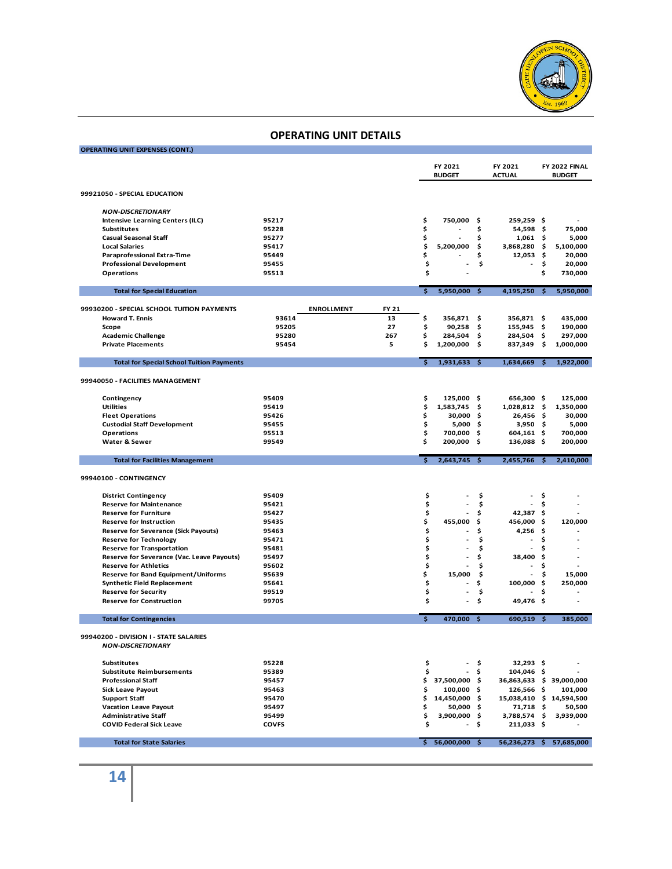

| <b>OPERATING UNIT EXPENSES (CONT.)</b>                         |                       |                   |       |          |                          |             |                            |      |                                |
|----------------------------------------------------------------|-----------------------|-------------------|-------|----------|--------------------------|-------------|----------------------------|------|--------------------------------|
|                                                                |                       |                   |       |          |                          |             |                            |      |                                |
|                                                                |                       |                   |       |          | FY 2021<br><b>BUDGET</b> |             | FY 2021<br><b>ACTUAL</b>   |      | FY 2022 FINAL<br><b>BUDGET</b> |
|                                                                |                       |                   |       |          |                          |             |                            |      |                                |
| 99921050 - SPECIAL EDUCATION                                   |                       |                   |       |          |                          |             |                            |      |                                |
| <b>NON-DISCRETIONARY</b>                                       |                       |                   |       |          |                          |             |                            |      |                                |
| <b>Intensive Learning Centers (ILC)</b>                        | 95217                 |                   |       | \$       | 750,000                  | \$          | 259,259 \$                 |      |                                |
| <b>Substitutes</b>                                             | 95228                 |                   |       | \$       |                          | \$          | 54,598                     | -\$  | 75,000                         |
| <b>Casual Seasonal Staff</b>                                   | 95277                 |                   |       | \$       |                          | \$          | $1,061$ \$                 |      | 5,000                          |
| <b>Local Salaries</b>                                          | 95417                 |                   |       | \$       | 5,200,000                | \$          | 3,868,280 \$               |      | 5,100,000                      |
| <b>Paraprofessional Extra-Time</b>                             | 95449                 |                   |       | \$       |                          | \$          | 12,053                     | - \$ | 20,000                         |
| <b>Professional Development</b>                                | 95455                 |                   |       | \$       |                          | \$          |                            | \$   | 20,000                         |
| <b>Operations</b>                                              | 95513                 |                   |       | \$       |                          |             |                            | \$   | 730,000                        |
|                                                                |                       |                   |       |          |                          |             |                            |      |                                |
| <b>Total for Special Education</b>                             |                       |                   |       | \$       | 5,950,000 \$             |             | 4,195,250 \$               |      | 5,950,000                      |
| 99930200 - SPECIAL SCHOOL TUITION PAYMENTS                     |                       | <b>ENROLLMENT</b> | FY 21 |          |                          |             |                            |      |                                |
| <b>Howard T. Ennis</b>                                         | 93614                 |                   | 13    | \$       | 356,871                  | \$          | 356,871 \$                 |      | 435,000                        |
| Scope                                                          | 95205                 |                   | 27    | \$       | 90,258                   | \$          | 155,945                    | \$   | 190,000                        |
| <b>Academic Challenge</b>                                      | 95280                 |                   | 267   | \$       | 284,504                  | \$          | 284,504                    | \$   | 297,000                        |
| <b>Private Placements</b>                                      | 95454                 |                   | 5     | \$       | 1,200,000                | \$          | 837,349                    | \$   | 1,000,000                      |
|                                                                |                       |                   |       |          |                          |             |                            |      |                                |
| <b>Total for Special School Tuition Payments</b>               |                       |                   |       | Ś.       | 1,931,633 \$             |             | 1,634,669                  | -\$  | 1,922,000                      |
| 99940050 - FACILITIES MANAGEMENT                               |                       |                   |       |          |                          |             |                            |      |                                |
|                                                                |                       |                   |       |          |                          |             |                            |      |                                |
| Contingency                                                    | 95409                 |                   |       | \$       | 125,000 \$               |             | 656,300 \$                 |      | 125,000                        |
| <b>Utilities</b>                                               | 95419                 |                   |       | \$       | 1,583,745                | \$.         | 1,028,812 \$               |      | 1,350,000                      |
| <b>Fleet Operations</b>                                        | 95426                 |                   |       | \$       | 30,000 \$                |             | 26,456 \$                  |      | 30,000                         |
| <b>Custodial Staff Development</b>                             | 95455                 |                   |       | \$       | $5,000$ \$               |             | $3,950$ \$                 |      | 5,000                          |
| <b>Operations</b>                                              | 95513                 |                   |       | \$       | 700,000                  | \$          | $604,161$ \$               |      | 700,000                        |
| Water & Sewer                                                  | 99549                 |                   |       | \$       | 200,000 \$               |             | 136,088 \$                 |      | 200,000                        |
| <b>Total for Facilities Management</b>                         |                       |                   |       | Ś.       | 2,643,745 \$             |             | 2,455,766 \$               |      | 2,410,000                      |
|                                                                |                       |                   |       |          |                          |             |                            |      |                                |
| 99940100 - CONTINGENCY                                         |                       |                   |       |          |                          |             |                            |      |                                |
|                                                                |                       |                   |       |          |                          |             |                            |      |                                |
| <b>District Contingency</b>                                    | 95409                 |                   |       | \$       |                          | \$          |                            | \$   |                                |
| <b>Reserve for Maintenance</b>                                 | 95421                 |                   |       | \$       |                          | \$          |                            | \$   |                                |
| <b>Reserve for Furniture</b>                                   | 95427                 |                   |       | \$       | $\overline{\phantom{a}}$ | \$          | 42,387 \$                  |      |                                |
| Reserve for Instruction                                        | 95435                 |                   |       | \$       | 455,000                  | \$          | 456,000 \$                 |      | 120,000                        |
| <b>Reserve for Severance (Sick Payouts)</b>                    | 95463                 |                   |       | \$       |                          | \$          | 4,256                      | \$   |                                |
| <b>Reserve for Technology</b>                                  | 95471                 |                   |       | \$       |                          | \$          |                            | \$   |                                |
| <b>Reserve for Transportation</b>                              | 95481                 |                   |       | \$       |                          | \$          |                            | \$   |                                |
| Reserve for Severance (Vac. Leave Payouts)                     | 95497                 |                   |       | \$       |                          | \$          | 38,400                     | \$   |                                |
| <b>Reserve for Athletics</b>                                   | 95602                 |                   |       | \$       |                          | \$          |                            | \$   |                                |
| <b>Reserve for Band Equipment/Uniforms</b>                     | 95639                 |                   |       | \$       | 15,000                   | \$          |                            | \$   | 15,000                         |
| <b>Synthetic Field Replacement</b>                             | 95641                 |                   |       | \$       |                          | \$          | 100,000 \$                 |      | 250,000                        |
| <b>Reserve for Security</b>                                    | 99519                 |                   |       | \$       |                          | \$          |                            | \$   |                                |
| <b>Reserve for Construction</b>                                | 99705                 |                   |       | \$       | $\overline{a}$           | \$          | 49,476\$                   |      |                                |
| <b>Total for Contingencies</b>                                 |                       |                   |       | Ś.       | 470,000 \$               |             | 690,519 \$                 |      | 385,000                        |
|                                                                |                       |                   |       |          |                          |             |                            |      |                                |
| 99940200 - DIVISION I - STATE SALARIES                         |                       |                   |       |          |                          |             |                            |      |                                |
| <b>NON-DISCRETIONARY</b>                                       |                       |                   |       |          |                          |             |                            |      |                                |
|                                                                | 95228                 |                   |       |          |                          | \$          |                            |      |                                |
| <b>Substitutes</b>                                             |                       |                   |       | \$       |                          |             | 32,293 \$                  |      |                                |
| <b>Substitute Reimbursements</b><br><b>Professional Staff</b>  | 95389                 |                   |       | \$       |                          | \$          | 104,046 \$                 |      |                                |
|                                                                | 95457                 |                   |       |          | \$37,500,000\$           |             | 36,863,633 \$ 39,000,000   |      |                                |
| <b>Sick Leave Payout</b>                                       | 95463                 |                   |       | \$       | 100,000 \$               |             | 126,566 \$                 |      | 101,000                        |
| <b>Support Staff</b>                                           | 95470                 |                   |       | \$       | 14,450,000 \$            |             | 15,038,410 \$ 14,594,500   |      |                                |
| <b>Vacation Leave Payout</b>                                   | 95497                 |                   |       | \$       | $50,000$ \$              |             | 71,718 \$                  |      | 50,500                         |
| <b>Administrative Staff</b><br><b>COVID Federal Sick Leave</b> | 95499<br><b>COVFS</b> |                   |       | \$<br>\$ | 3,900,000                | -\$<br>- \$ | 3,788,574 \$<br>211,033 \$ |      | 3,939,000                      |
|                                                                |                       |                   |       |          |                          |             |                            |      |                                |
|                                                                |                       |                   |       |          |                          |             |                            |      |                                |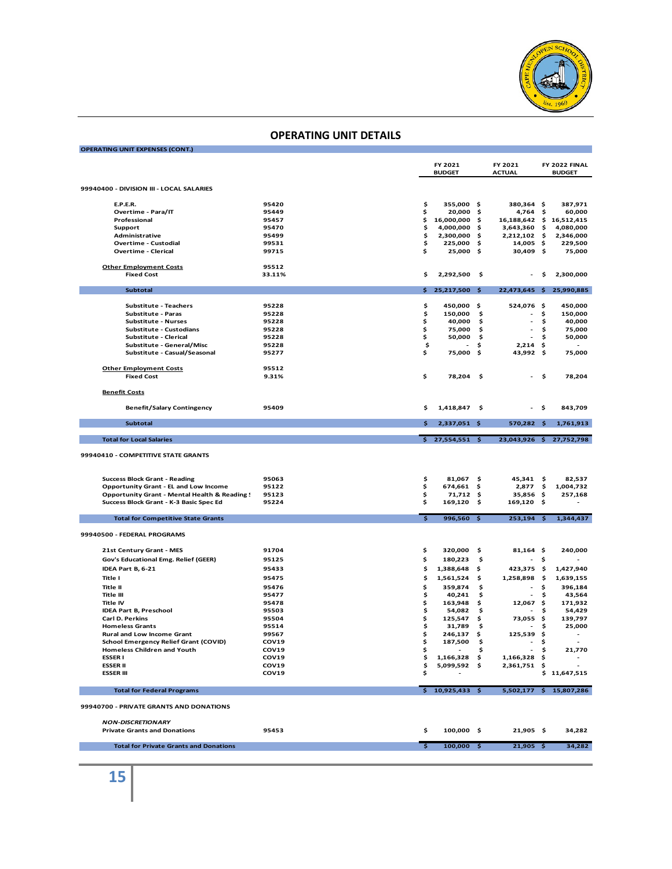

| <b>OPERATING UNIT EXPENSES (CONT.)</b>                                      |                |                         |                           |          |                                            |          |                                |
|-----------------------------------------------------------------------------|----------------|-------------------------|---------------------------|----------|--------------------------------------------|----------|--------------------------------|
|                                                                             |                |                         |                           |          |                                            |          |                                |
|                                                                             |                |                         | FY 2021<br><b>BUDGET</b>  |          | FY 2021<br><b>ACTUAL</b>                   |          | FY 2022 FINAL<br><b>BUDGET</b> |
|                                                                             |                |                         |                           |          |                                            |          |                                |
| 99940400 - DIVISION III - LOCAL SALARIES                                    |                |                         |                           |          |                                            |          |                                |
|                                                                             |                |                         |                           |          |                                            |          |                                |
| <b>E.P.E.R.</b><br>Overtime - Para/IT                                       | 95420<br>95449 | \$<br>\$                | 355,000 \$<br>$20,000$ \$ |          | 380,364 \$<br>4,764                        | \$       | 387,971<br>60,000              |
| Professional                                                                | 95457          | \$                      | 16,000,000 \$             |          | 16,188,642 \$ 16,512,415                   |          |                                |
| Support                                                                     | 95470          | \$                      | 4,000,000                 | \$       | 3,643,360                                  | \$       | 4,080,000                      |
| Administrative                                                              | 95499          | \$                      | 2,300,000                 | - \$     | 2,212,102                                  | - \$     | 2,346,000                      |
| <b>Overtime - Custodial</b>                                                 | 99531          | \$                      | 225,000 \$                |          | 14,005 \$                                  |          | 229,500                        |
| <b>Overtime - Clerical</b>                                                  | 99715          | \$                      | 25,000 \$                 |          | 30,409 \$                                  |          | 75,000                         |
| <b>Other Employment Costs</b>                                               | 95512          |                         |                           |          |                                            |          |                                |
| <b>Fixed Cost</b>                                                           | 33.11%         | \$                      | 2,292,500                 | -\$      |                                            | \$       | 2,300,000                      |
|                                                                             |                |                         |                           |          |                                            |          |                                |
| <b>Subtotal</b>                                                             |                | \$                      | 25,217,500                | - \$     |                                            |          | 22,473,645 \$ 25,990,885       |
|                                                                             |                |                         |                           |          |                                            |          |                                |
| <b>Substitute - Teachers</b>                                                | 95228          | \$                      | 450,000 \$                |          | 524,076 \$                                 |          | 450,000                        |
| Substitute - Paras<br><b>Substitute - Nurses</b>                            | 95228<br>95228 | \$<br>\$                | 150,000<br>40,000         | \$<br>\$ | $\blacksquare$<br>$\overline{\phantom{a}}$ | \$<br>\$ | 150,000<br>40,000              |
| Substitute - Custodians                                                     | 95228          | \$                      | 75,000                    | \$       |                                            | \$       | 75,000                         |
| Substitute - Clerical                                                       | 95228          | \$                      | 50,000                    | - \$     | $\overline{\phantom{a}}$                   | \$       | 50,000                         |
| Substitute - General/Misc                                                   | 95228          | \$                      |                           | \$       | 2,214                                      | - \$     |                                |
| Substitute - Casual/Seasonal                                                | 95277          | \$                      | 75,000                    | -\$      | 43,992 \$                                  |          | 75,000                         |
|                                                                             |                |                         |                           |          |                                            |          |                                |
| <b>Other Employment Costs</b>                                               | 95512          |                         |                           |          |                                            |          |                                |
| <b>Fixed Cost</b>                                                           | 9.31%          | \$                      | 78,204 \$                 |          |                                            | \$       | 78,204                         |
|                                                                             |                |                         |                           |          |                                            |          |                                |
| <b>Benefit Costs</b>                                                        |                |                         |                           |          |                                            |          |                                |
| <b>Benefit/Salary Contingency</b>                                           | 95409          | \$                      | 1,418,847                 | -\$      |                                            | \$       | 843,709                        |
|                                                                             |                |                         |                           |          |                                            |          |                                |
| <b>Subtotal</b>                                                             |                | \$                      | 2,337,051 \$              |          | 570,282 \$                                 |          | 1,761,913                      |
|                                                                             |                |                         |                           |          |                                            |          |                                |
| <b>Total for Local Salaries</b>                                             |                |                         | $$27,554,551$ \$          |          |                                            |          | 23,043,926 \$ 27,752,798       |
|                                                                             |                |                         |                           |          |                                            |          |                                |
|                                                                             |                |                         |                           |          |                                            |          |                                |
| 99940410 - COMPETITIVE STATE GRANTS                                         |                |                         |                           |          |                                            |          |                                |
|                                                                             |                |                         |                           |          |                                            |          |                                |
| <b>Success Block Grant - Reading</b>                                        | 95063          | \$                      | 81,067                    | -\$      | 45,341                                     | - \$     | 82,537                         |
| <b>Opportunity Grant - EL and Low Income</b>                                | 95122          | \$                      | 674,661                   | \$       | 2,877                                      | \$       | 1,004,732                      |
| <b>Opportunity Grant - Mental Health &amp; Reading!</b>                     | 95123          | \$                      | 71,712                    | \$       | 35,856 \$                                  |          | 257,168                        |
| Success Block Grant - K-3 Basic Spec Ed                                     | 95224          | \$                      | 169,120                   | \$       | 169,120                                    | - \$     |                                |
|                                                                             |                |                         |                           |          |                                            |          |                                |
| <b>Total for Competitive State Grants</b>                                   |                | $\overline{\mathbf{s}}$ | $996,560$ \$              |          | 253,194 \$                                 |          | 1,344,437                      |
|                                                                             |                |                         |                           |          |                                            |          |                                |
| 99940500 - FEDERAL PROGRAMS                                                 |                |                         |                           |          |                                            |          |                                |
|                                                                             | 91704          |                         |                           |          |                                            |          |                                |
| 21st Century Grant - MES                                                    |                | \$                      | 320,000                   | \$       | $81,164$ \$<br>$\blacksquare$              |          | 240,000                        |
| Gov's Educational Emg. Relief (GEER)                                        | 95125          | \$                      | 180,223                   | \$       |                                            | \$       |                                |
| IDEA Part B, 6-21                                                           | 95433          | \$                      | 1,388,648                 | \$       | 423,375 \$                                 |          | 1,427,940                      |
| Title I                                                                     | 95475          | \$                      | 1,561,524                 | \$       | 1,258,898                                  | - \$     | 1,639,155                      |
| <b>Title II</b>                                                             | 95476          | \$                      | 359,874                   | \$       | $\blacksquare$                             | \$       | 396,184                        |
| <b>Title III</b>                                                            | 95477          | \$                      | 40,241                    | \$       | $\blacksquare$                             | \$       | 43,564                         |
| Title IV                                                                    | 95478          | \$                      | 163,948                   | \$       | $12,067$ \$                                |          | 171,932                        |
| <b>IDEA Part B, Preschool</b>                                               | 95503          | \$                      | 54,082                    | -\$      |                                            | \$       | 54,429                         |
| Carl D. Perkins                                                             | 95504          | \$                      | 125,547                   | \$       | 73,055                                     | \$       | 139,797                        |
| <b>Homeless Grants</b>                                                      | 95514<br>99567 | \$                      | 31,789                    | \$<br>\$ | $\overline{\phantom{a}}$<br>125.539        | \$       | 25,000                         |
| <b>Rural and Low Income Grant</b>                                           | <b>COV19</b>   | \$                      | 246,137                   |          |                                            | \$       |                                |
| School Emergency Relief Grant (COVID)<br><b>Homeless Children and Youth</b> | COV19          | \$                      | 187,500                   | \$.      | - \$<br>$\sim$                             |          |                                |
| <b>ESSER I</b>                                                              | <b>COV19</b>   | \$<br>\$                | 1,166,328                 | \$<br>\$ | 1,166,328 \$                               | \$       | 21,770                         |
| <b>ESSER II</b>                                                             | COV19          | \$                      | 5,099,592                 | \$       | 2,361,751 \$                               |          |                                |
| <b>ESSER III</b>                                                            | COV19          | \$                      |                           |          |                                            |          | \$11,647,515                   |
|                                                                             |                |                         |                           |          |                                            |          |                                |
| <b>Total for Federal Programs</b>                                           |                |                         | \$10,925,433\$            |          |                                            |          | 5,502,177 \$ 15,807,286        |
| 99940700 - PRIVATE GRANTS AND DONATIONS                                     |                |                         |                           |          |                                            |          |                                |
|                                                                             |                |                         |                           |          |                                            |          |                                |
| <b>NON-DISCRETIONARY</b><br><b>Private Grants and Donations</b>             | 95453          | \$                      | 100,000 \$                |          | 21,905 \$                                  |          | 34,282                         |
|                                                                             |                |                         |                           |          |                                            |          |                                |
| <b>Total for Private Grants and Donations</b>                               |                | $\overline{\mathbf{s}}$ | $100,000$ \$              |          | $21,905$ \$                                |          | 34,282                         |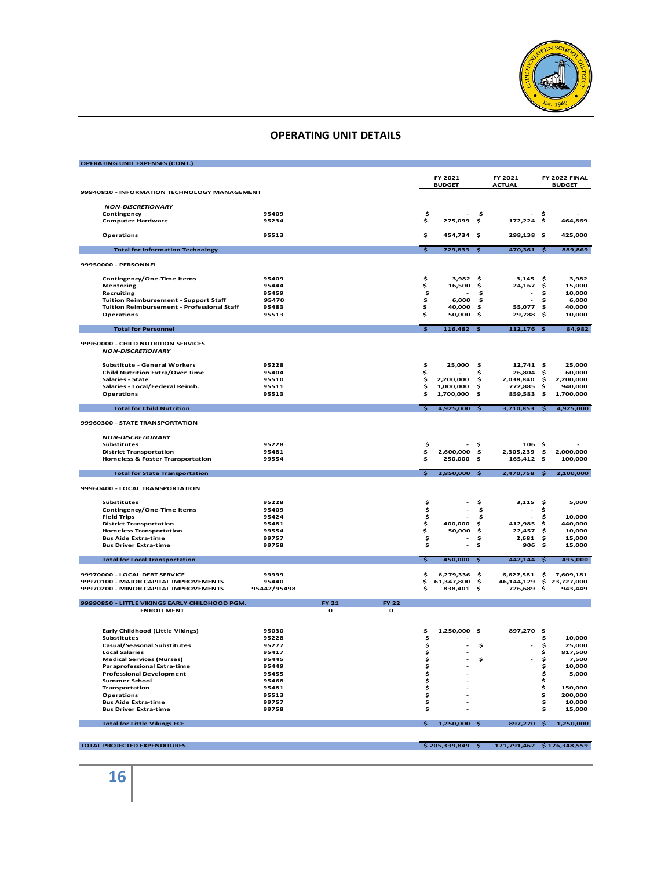

| <b>OPERATING UNIT EXPENSES (CONT.)</b>                                        |                |          |              |                         |                            |          |                         |           |                      |
|-------------------------------------------------------------------------------|----------------|----------|--------------|-------------------------|----------------------------|----------|-------------------------|-----------|----------------------|
|                                                                               |                |          |              |                         | FY 2021                    |          | FY 2021                 |           | FY 2022 FINAL        |
|                                                                               |                |          |              |                         | <b>BUDGET</b>              |          | <b>ACTUAL</b>           |           | <b>BUDGET</b>        |
| 99940810 - INFORMATION TECHNOLOGY MANAGEMENT                                  |                |          |              |                         |                            |          |                         |           |                      |
|                                                                               |                |          |              |                         |                            |          |                         |           |                      |
| <b>NON-DISCRETIONARY</b>                                                      | 95409          |          |              |                         |                            | Ś.       |                         |           |                      |
| Contingency<br><b>Computer Hardware</b>                                       | 95234          |          |              | \$<br>\$                | $\sim$<br>275,099 \$       |          | 172,224 \$              | Ŝ.        | 464,869              |
|                                                                               |                |          |              |                         |                            |          |                         |           |                      |
| Operations                                                                    | 95513          |          |              | \$                      | 454,734 \$                 |          | 298,138 \$              |           | 425,000              |
|                                                                               |                |          |              |                         |                            |          |                         |           |                      |
| <b>Total for Information Technology</b>                                       |                |          |              | $\overline{\mathbf{s}}$ | $729,833$ \$               |          | $470,361$ \$            |           | 889.869              |
| 99950000 - PERSONNEL                                                          |                |          |              |                         |                            |          |                         |           |                      |
|                                                                               |                |          |              |                         |                            |          |                         |           |                      |
| Contingency/One-Time Items                                                    | 95409          |          |              | \$                      | $3,982$ \$                 |          | $3,145$ \$              |           | 3,982                |
| <b>Mentoring</b>                                                              | 95444          |          |              | \$                      | 16,500                     | Ś        | 24,167                  | \$        | 15,000               |
| Recruiting                                                                    | 95459          |          |              | \$                      |                            | Ś        |                         | Ś         | 10,000               |
| <b>Tuition Reimbursement - Support Staff</b>                                  | 95470<br>95483 |          |              | \$                      | 6,000                      | \$       |                         | \$<br>\$  | 6,000<br>40,000      |
| Tuition Reimbursement - Professional Staff<br><b>Operations</b>               | 95513          |          |              | \$<br>\$                | 40.000<br>50,000           | s.<br>\$ | 55,077<br>29,788        | \$        | 10,000               |
|                                                                               |                |          |              |                         |                            |          |                         |           |                      |
| <b>Total for Personnel</b>                                                    |                |          |              | $\overline{\mathbf{s}}$ | $116,482$ \$               |          | $112,176$ \$            |           | 84,982               |
|                                                                               |                |          |              |                         |                            |          |                         |           |                      |
| 99960000 - CHILD NUTRITION SERVICES                                           |                |          |              |                         |                            |          |                         |           |                      |
| <b>NON-DISCRETIONARY</b>                                                      |                |          |              |                         |                            |          |                         |           |                      |
| <b>Substitute - General Workers</b>                                           | 95228          |          |              | \$                      | 25,000                     | \$       | $12,741$ \$             |           | 25,000               |
| <b>Child Nutrition Extra/Over Time</b>                                        | 95404          |          |              | $\dot{\bm{s}}$          |                            | s        | 26,804                  | Ś         | 60,000               |
| Salaries - State                                                              | 95510          |          |              | \$                      | 2,200,000                  | \$       | 2,038,840               | -\$       | 2,200,000            |
| Salaries - Local/Federal Reimb.                                               | 95511          |          |              | \$                      | 1,000,000                  | Ŝ.       | 772,885                 | \$        | 940,000              |
| <b>Operations</b>                                                             | 95513          |          |              | \$                      | 1,700,000                  | \$       | 859,583                 | \$        | 1,700,000            |
| <b>Total for Child Nutrition</b>                                              |                |          |              | $\overline{\mathbf{s}}$ | $4,925,000$ \$             |          | $3,710,853$ \$          |           | 4,925,000            |
|                                                                               |                |          |              |                         |                            |          |                         |           |                      |
| 99960300 - STATE TRANSPORTATION                                               |                |          |              |                         |                            |          |                         |           |                      |
|                                                                               |                |          |              |                         |                            |          |                         |           |                      |
| <b>NON-DISCRETIONARY</b>                                                      |                |          |              |                         |                            |          |                         |           |                      |
| <b>Substitutes</b>                                                            | 95228          |          |              | \$                      |                            | Ś.       | 106 <sub>5</sub>        |           |                      |
| <b>District Transportation</b><br><b>Homeless &amp; Foster Transportation</b> | 95481<br>99554 |          |              | \$<br>\$                | 2,600,000 \$<br>250,000 \$ |          | 2,305,239<br>165,412 \$ | \$        | 2,000,000<br>100,000 |
|                                                                               |                |          |              |                         |                            |          |                         |           |                      |
| <b>Total for State Transportation</b>                                         |                |          |              | $\overline{\mathbf{s}}$ | 2,850,000 \$               |          | 2,470,758 \$            |           | 2,100,000            |
|                                                                               |                |          |              |                         |                            |          |                         |           |                      |
| 99960400 - LOCAL TRANSPORTATION                                               |                |          |              |                         |                            |          |                         |           |                      |
| <b>Substitutes</b>                                                            | 95228          |          |              | \$                      |                            | \$       | 3,115                   | -\$       | 5,000                |
| Contingency/One-Time Items                                                    | 95409          |          |              | \$                      | ä,                         | \$.      |                         | \$        |                      |
| <b>Field Trips</b>                                                            | 95424          |          |              | \$                      | $\overline{a}$             | \$       | $\sim$                  | \$        | 10,000               |
| <b>District Transportation</b>                                                | 95481          |          |              | \$                      | 400,000                    | Ŝ.       | 412,985                 | \$        | 440,000              |
| <b>Homeless Transportation</b>                                                | 99554          |          |              | \$                      | 50,000                     | \$       | 22,457                  | \$        | 10,000               |
| <b>Bus Aide Extra-time</b>                                                    | 99757          |          |              | \$                      |                            | \$       | 2,681                   | \$        | 15,000               |
| <b>Bus Driver Extra-time</b>                                                  | 99758          |          |              | \$                      |                            | \$       | 906                     | \$        | 15,000               |
| <b>Total for Local Transportation</b>                                         |                |          |              | $\overline{\mathbf{s}}$ | $450,000$ \$               |          | $442,144$ \$            |           | 495,000              |
|                                                                               |                |          |              |                         |                            |          |                         |           |                      |
| 99970000 - LOCAL DEBT SERVICE                                                 | 99999          |          |              | \$                      | 6,279,336 \$               |          | 6,627,581               | -\$       | 7,609,181            |
| 99970100 - MAJOR CAPITAL IMPROVEMENTS                                         | 95440          |          |              | \$                      | 61,347,800 \$              |          | 46,144,129              | \$        | 23,727,000           |
| 99970200 - MINOR CAPITAL IMPROVEMENTS                                         | 95442/95498    |          |              | \$                      | 838,401 \$                 |          | 726,689 \$              |           | 943,449              |
| 99990850 - LITTLE VIKINGS EARLY CHILDHOOD PGM.                                |                | FY 21    | <b>FY 22</b> |                         |                            |          |                         |           |                      |
| <b>ENROLLMENT</b>                                                             |                | $\Omega$ | $\Omega$     |                         |                            |          |                         |           |                      |
|                                                                               |                |          |              |                         |                            |          |                         |           |                      |
|                                                                               |                |          |              |                         |                            |          |                         |           |                      |
| Early Childhood (Little Vikings)<br><b>Substitutes</b>                        | 95030<br>95228 |          |              | \$<br>\$                | 1,250,000 \$               |          | 897,270                 | -\$<br>\$ | 10,000               |
| <b>Casual/Seasonal Substitutes</b>                                            | 95277          |          |              | \$                      |                            | \$       |                         | \$        | 25,000               |
| <b>Local Salaries</b>                                                         | 95417          |          |              | \$                      |                            |          |                         | \$        | 817,500              |
| <b>Medical Services (Nurses)</b>                                              | 95445          |          |              | \$                      |                            | Ś        |                         | \$        | 7,500                |
| <b>Paraprofessional Extra-time</b>                                            | 95449          |          |              | \$                      |                            |          |                         | \$        | 10,000               |
| <b>Professional Development</b>                                               | 95455          |          |              | \$                      |                            |          |                         | \$        | 5,000                |
| <b>Summer School</b>                                                          | 95468          |          |              | \$                      |                            |          |                         | \$        |                      |
| Transportation<br><b>Operations</b>                                           | 95481<br>95513 |          |              | \$<br>\$                |                            |          |                         | \$<br>\$  | 150,000<br>200,000   |
| <b>Bus Aide Extra-time</b>                                                    | 99757          |          |              | \$                      |                            |          |                         | \$        | 10,000               |
| <b>Bus Driver Extra-time</b>                                                  | 99758          |          |              | \$                      |                            |          |                         | \$        | 15,000               |
|                                                                               |                |          |              |                         |                            |          |                         |           |                      |
| <b>Total for Little Vikings ECE</b>                                           |                |          |              | \$.                     | 1,250,000 \$               |          | 897,270 \$              |           | 1,250,000            |
|                                                                               |                |          |              |                         |                            |          |                         |           |                      |

**TOTAL PROJECTED EXPENDITURES \$ 205,339,849 \$ 171,791,462 \$ 176,348,559**